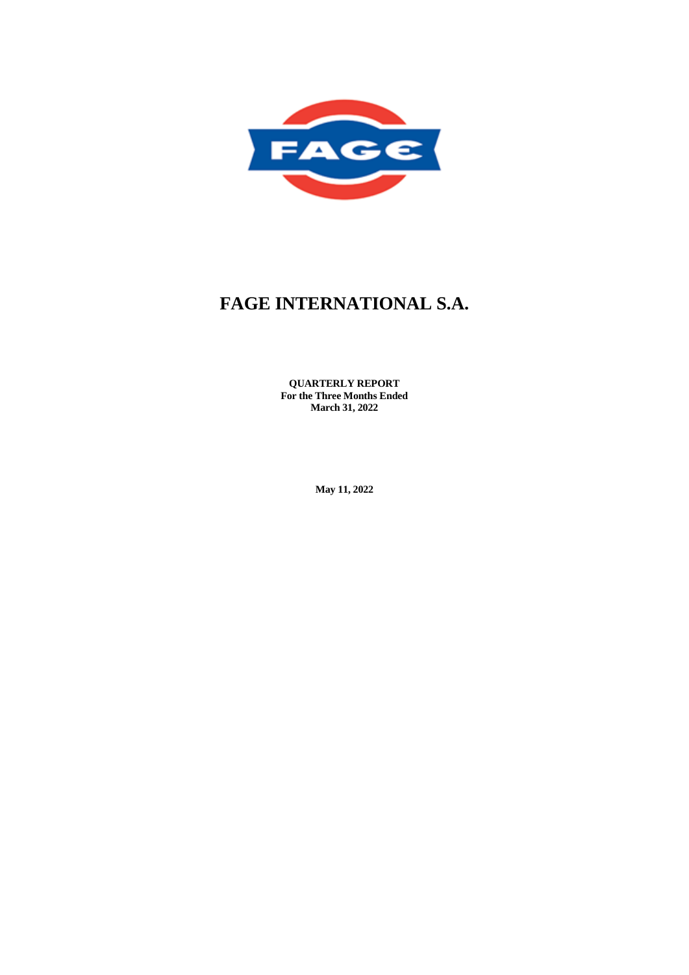

**QUARTERLY REPORT For the Three Months Ended March 31, 2022**

**May 11, 2022**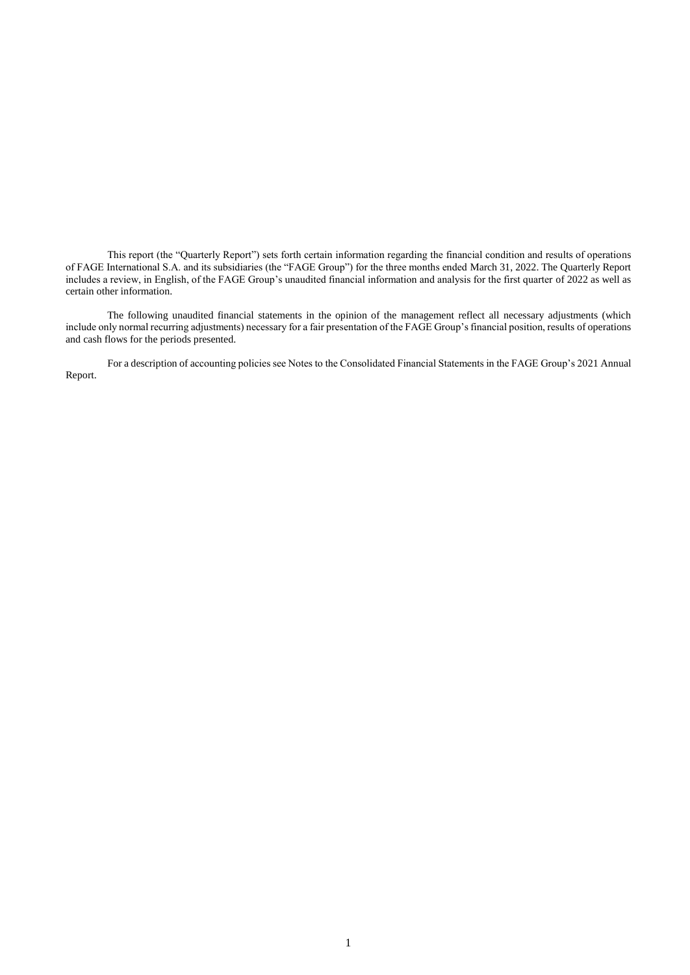This report (the "Quarterly Report") sets forth certain information regarding the financial condition and results of operations of FAGE International S.A. and its subsidiaries (the "FAGE Group") for the three months ended March 31, 2022. The Quarterly Report includes a review, in English, of the FAGE Group's unaudited financial information and analysis for the first quarter of 2022 as well as certain other information.

The following unaudited financial statements in the opinion of the management reflect all necessary adjustments (which include only normal recurring adjustments) necessary for a fair presentation of the FAGE Group's financial position, results of operations and cash flows for the periods presented.

For a description of accounting policies see Notes to the Consolidated Financial Statements in the FAGE Group's 2021 Annual Report.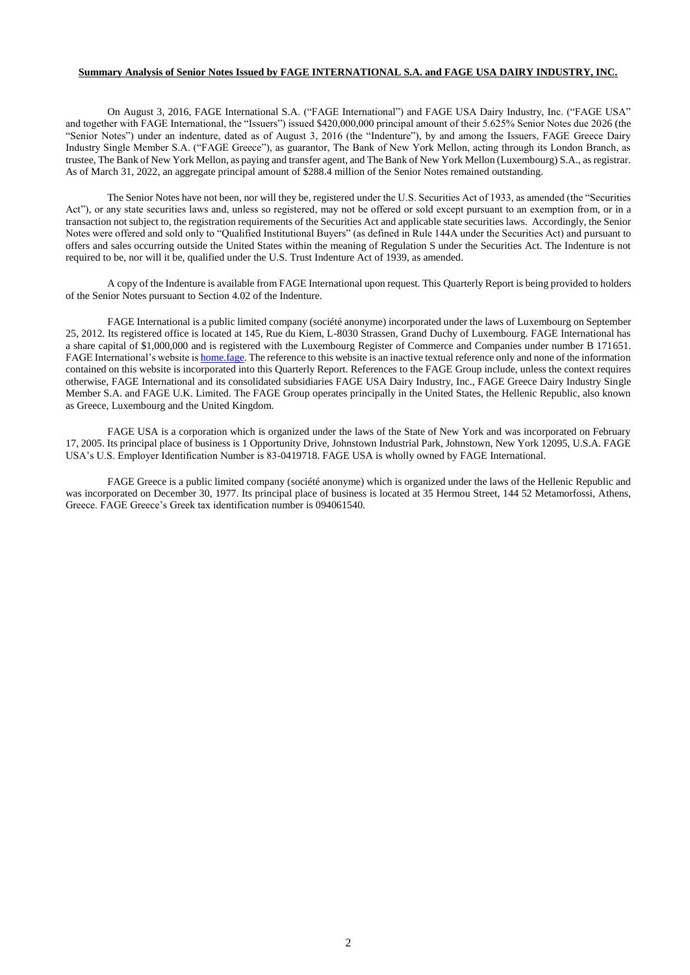## **Summary Analysis of Senior Notes Issued by FAGE INTERNATIONAL S.A. and FAGE USA DAIRY INDUSTRY, INC.**

On August 3, 2016, FAGE International S.A. ("FAGE International") and FAGE USA Dairy Industry, Inc. ("FAGE USA" and together with FAGE International, the "Issuers") issued \$420,000,000 principal amount of their 5.625% Senior Notes due 2026 (the "Senior Notes") under an indenture, dated as of August 3, 2016 (the "Indenture"), by and among the Issuers, FAGE Greece Dairy Industry Single Member S.A. ("FAGE Greece"), as guarantor, The Bank of New York Mellon, acting through its London Branch, as trustee, The Bank of New York Mellon, as paying and transfer agent, and The Bank of New York Mellon (Luxembourg) S.A., as registrar. As of March 31, 2022, an aggregate principal amount of \$288.4 million of the Senior Notes remained outstanding.

The Senior Notes have not been, nor will they be, registered under the U.S. Securities Act of 1933, as amended (the "Securities Act"), or any state securities laws and, unless so registered, may not be offered or sold except pursuant to an exemption from, or in a transaction not subject to, the registration requirements of the Securities Act and applicable state securities laws. Accordingly, the Senior Notes were offered and sold only to "Qualified Institutional Buyers" (as defined in Rule 144A under the Securities Act) and pursuant to offers and sales occurring outside the United States within the meaning of Regulation S under the Securities Act. The Indenture is not required to be, nor will it be, qualified under the U.S. Trust Indenture Act of 1939, as amended.

A copy of the Indenture is available from FAGE International upon request. This Quarterly Report is being provided to holders of the Senior Notes pursuant to Section 4.02 of the Indenture.

FAGE International is a public limited company (société anonyme) incorporated under the laws of Luxembourg on September 25, 2012. Its registered office is located at 145, Rue du Kiem, L-8030 Strassen, Grand Duchy of Luxembourg. FAGE International has a share capital of \$1,000,000 and is registered with the Luxembourg Register of Commerce and Companies under number B 171651. FAGE International's website i[s home.fage.](http://home.fage/) The reference to this website is an inactive textual reference only and none of the information contained on this website is incorporated into this Quarterly Report. References to the FAGE Group include, unless the context requires otherwise, FAGE International and its consolidated subsidiaries FAGE USA Dairy Industry, Inc., FAGE Greece Dairy Industry Single Member S.A. and FAGE U.K. Limited. The FAGE Group operates principally in the United States, the Hellenic Republic, also known as Greece, Luxembourg and the United Kingdom.

FAGE USA is a corporation which is organized under the laws of the State of New York and was incorporated on February 17, 2005. Its principal place of business is 1 Opportunity Drive, Johnstown Industrial Park, Johnstown, New York 12095, U.S.A. FAGE USA's U.S. Employer Identification Number is 83-0419718. FAGE USA is wholly owned by FAGE International.

FAGE Greece is a public limited company (société anonyme) which is organized under the laws of the Hellenic Republic and was incorporated on December 30, 1977. Its principal place of business is located at 35 Hermou Street, 144 52 Metamorfossi, Athens, Greece. FAGE Greece's Greek tax identification number is 094061540.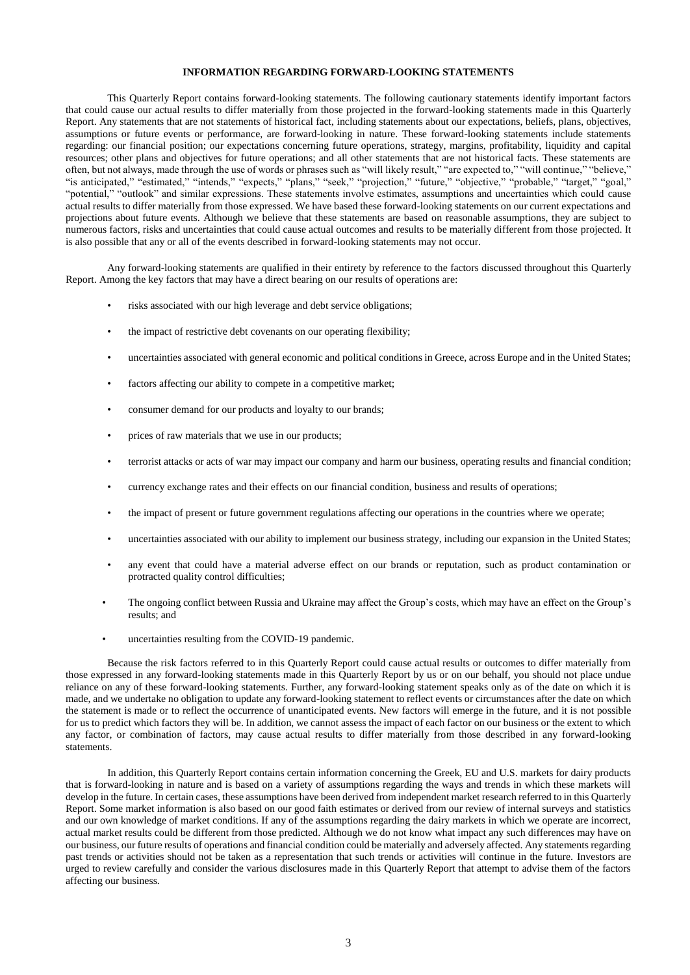## **INFORMATION REGARDING FORWARD-LOOKING STATEMENTS**

This Quarterly Report contains forward-looking statements. The following cautionary statements identify important factors that could cause our actual results to differ materially from those projected in the forward-looking statements made in this Quarterly Report. Any statements that are not statements of historical fact, including statements about our expectations, beliefs, plans, objectives, assumptions or future events or performance, are forward-looking in nature. These forward-looking statements include statements regarding: our financial position; our expectations concerning future operations, strategy, margins, profitability, liquidity and capital resources; other plans and objectives for future operations; and all other statements that are not historical facts. These statements are often, but not always, made through the use of words or phrases such as "will likely result," "are expected to," "will continue," "believe," "is anticipated," "estimated," "intends," "expects," "plans," "seek," "projection," "future," "objective," "probable," "target," "goal," "potential," "outlook" and similar expressions. These statements involve estimates, assumptions and uncertainties which could cause actual results to differ materially from those expressed. We have based these forward-looking statements on our current expectations and projections about future events. Although we believe that these statements are based on reasonable assumptions, they are subject to numerous factors, risks and uncertainties that could cause actual outcomes and results to be materially different from those projected. It is also possible that any or all of the events described in forward-looking statements may not occur.

Any forward-looking statements are qualified in their entirety by reference to the factors discussed throughout this Quarterly Report. Among the key factors that may have a direct bearing on our results of operations are:

- risks associated with our high leverage and debt service obligations;
- the impact of restrictive debt covenants on our operating flexibility;
- uncertainties associated with general economic and political conditions in Greece, across Europe and in the United States;
- factors affecting our ability to compete in a competitive market;
- consumer demand for our products and loyalty to our brands;
- prices of raw materials that we use in our products;
- terrorist attacks or acts of war may impact our company and harm our business, operating results and financial condition;
- currency exchange rates and their effects on our financial condition, business and results of operations;
- the impact of present or future government regulations affecting our operations in the countries where we operate;
- uncertainties associated with our ability to implement our business strategy, including our expansion in the United States;
- any event that could have a material adverse effect on our brands or reputation, such as product contamination or protracted quality control difficulties;
- The ongoing conflict between Russia and Ukraine may affect the Group's costs, which may have an effect on the Group's results; and
- uncertainties resulting from the COVID-19 pandemic.

Because the risk factors referred to in this Quarterly Report could cause actual results or outcomes to differ materially from those expressed in any forward-looking statements made in this Quarterly Report by us or on our behalf, you should not place undue reliance on any of these forward-looking statements. Further, any forward-looking statement speaks only as of the date on which it is made, and we undertake no obligation to update any forward-looking statement to reflect events or circumstances after the date on which the statement is made or to reflect the occurrence of unanticipated events. New factors will emerge in the future, and it is not possible for us to predict which factors they will be. In addition, we cannot assess the impact of each factor on our business or the extent to which any factor, or combination of factors, may cause actual results to differ materially from those described in any forward-looking statements.

In addition, this Quarterly Report contains certain information concerning the Greek, EU and U.S. markets for dairy products that is forward-looking in nature and is based on a variety of assumptions regarding the ways and trends in which these markets will develop in the future. In certain cases, these assumptions have been derived from independent market research referred to in this Quarterly Report. Some market information is also based on our good faith estimates or derived from our review of internal surveys and statistics and our own knowledge of market conditions. If any of the assumptions regarding the dairy markets in which we operate are incorrect, actual market results could be different from those predicted. Although we do not know what impact any such differences may have on our business, our future results of operations and financial condition could be materially and adversely affected. Any statements regarding past trends or activities should not be taken as a representation that such trends or activities will continue in the future. Investors are urged to review carefully and consider the various disclosures made in this Quarterly Report that attempt to advise them of the factors affecting our business.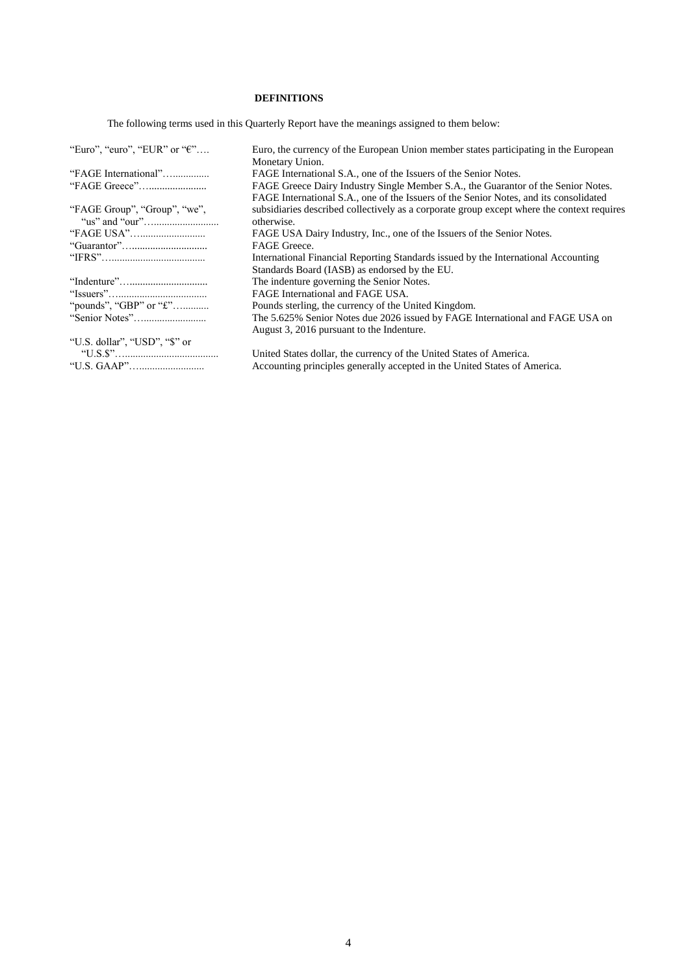## **DEFINITIONS**

The following terms used in this Quarterly Report have the meanings assigned to them below:

| "Euro", "euro", "EUR" or " $\epsilon$ " | Euro, the currency of the European Union member states participating in the European       |
|-----------------------------------------|--------------------------------------------------------------------------------------------|
|                                         | Monetary Union.                                                                            |
| "FAGE International"                    | FAGE International S.A., one of the Issuers of the Senior Notes.                           |
|                                         | FAGE Greece Dairy Industry Single Member S.A., the Guarantor of the Senior Notes.          |
|                                         | FAGE International S.A., one of the Issuers of the Senior Notes, and its consolidated      |
| "FAGE Group", "Group", "we",            | subsidiaries described collectively as a corporate group except where the context requires |
|                                         | otherwise.                                                                                 |
|                                         | FAGE USA Dairy Industry, Inc., one of the Issuers of the Senior Notes.                     |
|                                         | FAGE Greece.                                                                               |
|                                         | International Financial Reporting Standards issued by the International Accounting         |
|                                         | Standards Board (IASB) as endorsed by the EU.                                              |
|                                         | The indenture governing the Senior Notes.                                                  |
|                                         | FAGE International and FAGE USA.                                                           |
| "pounds", "GBP" or " $\pounds$ "        | Pounds sterling, the currency of the United Kingdom.                                       |
|                                         | The 5.625% Senior Notes due 2026 issued by FAGE International and FAGE USA on              |
|                                         | August 3, 2016 pursuant to the Indenture.                                                  |
| "U.S. dollar", "USD", "\$" or           |                                                                                            |
|                                         | United States dollar, the currency of the United States of America.                        |
|                                         | Accounting principles generally accepted in the United States of America.                  |
|                                         |                                                                                            |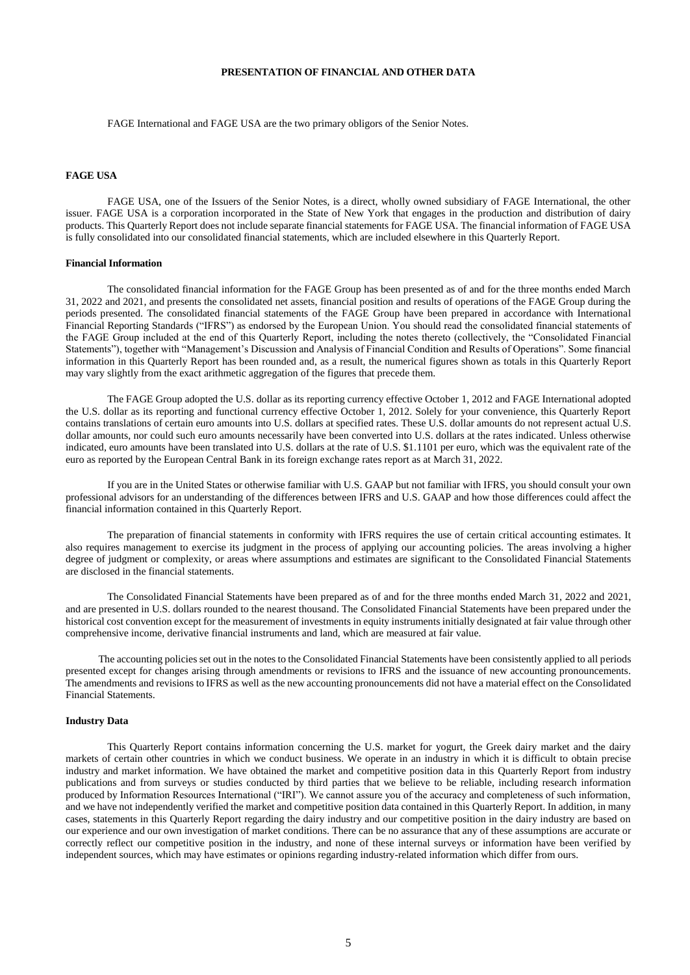## **PRESENTATION OF FINANCIAL AND OTHER DATA**

FAGE International and FAGE USA are the two primary obligors of the Senior Notes.

#### **FAGE USA**

FAGE USA, one of the Issuers of the Senior Notes, is a direct, wholly owned subsidiary of FAGE International, the other issuer. FAGE USA is a corporation incorporated in the State of New York that engages in the production and distribution of dairy products. This Quarterly Report does not include separate financial statements for FAGE USA. The financial information of FAGE USA is fully consolidated into our consolidated financial statements, which are included elsewhere in this Quarterly Report.

#### **Financial Information**

The consolidated financial information for the FAGE Group has been presented as of and for the three months ended March 31, 2022 and 2021, and presents the consolidated net assets, financial position and results of operations of the FAGE Group during the periods presented. The consolidated financial statements of the FAGE Group have been prepared in accordance with International Financial Reporting Standards ("IFRS") as endorsed by the European Union. You should read the consolidated financial statements of the FAGE Group included at the end of this Quarterly Report, including the notes thereto (collectively, the "Consolidated Financial Statements"), together with "Management's Discussion and Analysis of Financial Condition and Results of Operations". Some financial information in this Quarterly Report has been rounded and, as a result, the numerical figures shown as totals in this Quarterly Report may vary slightly from the exact arithmetic aggregation of the figures that precede them.

The FAGE Group adopted the U.S. dollar as its reporting currency effective October 1, 2012 and FAGE International adopted the U.S. dollar as its reporting and functional currency effective October 1, 2012. Solely for your convenience, this Quarterly Report contains translations of certain euro amounts into U.S. dollars at specified rates. These U.S. dollar amounts do not represent actual U.S. dollar amounts, nor could such euro amounts necessarily have been converted into U.S. dollars at the rates indicated. Unless otherwise indicated, euro amounts have been translated into U.S. dollars at the rate of U.S. \$1.1101 per euro, which was the equivalent rate of the euro as reported by the European Central Bank in its foreign exchange rates report as at March 31, 2022.

If you are in the United States or otherwise familiar with U.S. GAAP but not familiar with IFRS, you should consult your own professional advisors for an understanding of the differences between IFRS and U.S. GAAP and how those differences could affect the financial information contained in this Quarterly Report.

The preparation of financial statements in conformity with IFRS requires the use of certain critical accounting estimates. It also requires management to exercise its judgment in the process of applying our accounting policies. The areas involving a higher degree of judgment or complexity, or areas where assumptions and estimates are significant to the Consolidated Financial Statements are disclosed in the financial statements.

The Consolidated Financial Statements have been prepared as of and for the three months ended March 31, 2022 and 2021, and are presented in U.S. dollars rounded to the nearest thousand. The Consolidated Financial Statements have been prepared under the historical cost convention except for the measurement of investments in equity instruments initially designated at fair value through other comprehensive income, derivative financial instruments and land, which are measured at fair value.

The accounting policies set out in the notes to the Consolidated Financial Statements have been consistently applied to all periods presented except for changes arising through amendments or revisions to IFRS and the issuance of new accounting pronouncements. The amendments and revisions to IFRS as well as the new accounting pronouncements did not have a material effect on the Consolidated Financial Statements.

#### **Industry Data**

This Quarterly Report contains information concerning the U.S. market for yogurt, the Greek dairy market and the dairy markets of certain other countries in which we conduct business. We operate in an industry in which it is difficult to obtain precise industry and market information. We have obtained the market and competitive position data in this Quarterly Report from industry publications and from surveys or studies conducted by third parties that we believe to be reliable, including research information produced by Information Resources International ("IRI"). We cannot assure you of the accuracy and completeness of such information, and we have not independently verified the market and competitive position data contained in this Quarterly Report. In addition, in many cases, statements in this Quarterly Report regarding the dairy industry and our competitive position in the dairy industry are based on our experience and our own investigation of market conditions. There can be no assurance that any of these assumptions are accurate or correctly reflect our competitive position in the industry, and none of these internal surveys or information have been verified by independent sources, which may have estimates or opinions regarding industry-related information which differ from ours.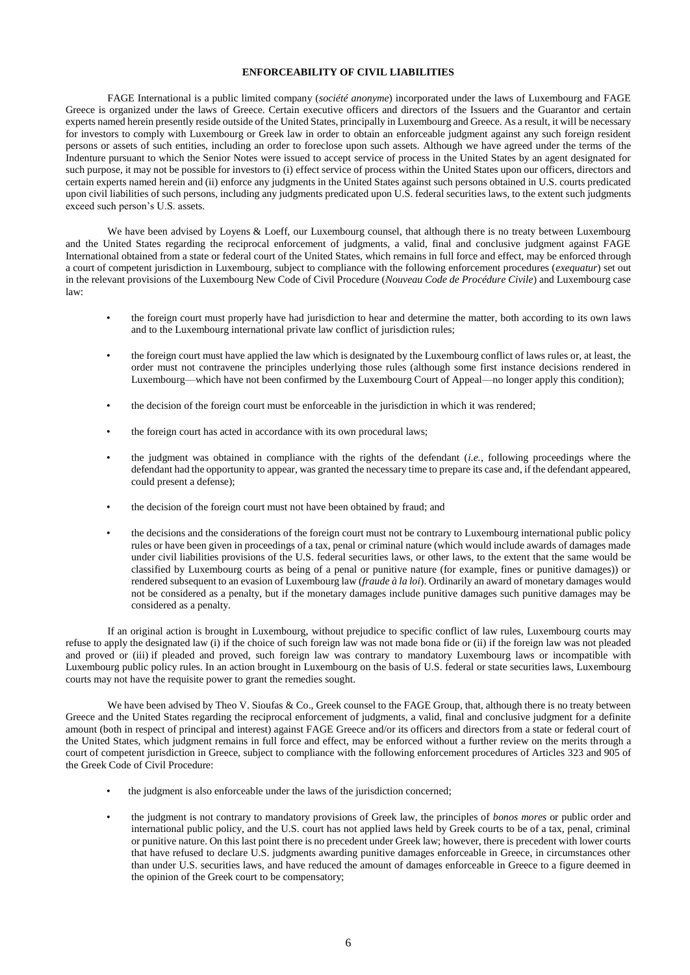## **ENFORCEABILITY OF CIVIL LIABILITIES**

FAGE International is a public limited company (*société anonyme*) incorporated under the laws of Luxembourg and FAGE Greece is organized under the laws of Greece. Certain executive officers and directors of the Issuers and the Guarantor and certain experts named herein presently reside outside of the United States, principally in Luxembourg and Greece. As a result, it will be necessary for investors to comply with Luxembourg or Greek law in order to obtain an enforceable judgment against any such foreign resident persons or assets of such entities, including an order to foreclose upon such assets. Although we have agreed under the terms of the Indenture pursuant to which the Senior Notes were issued to accept service of process in the United States by an agent designated for such purpose, it may not be possible for investors to (i) effect service of process within the United States upon our officers, directors and certain experts named herein and (ii) enforce any judgments in the United States against such persons obtained in U.S. courts predicated upon civil liabilities of such persons, including any judgments predicated upon U.S. federal securities laws, to the extent such judgments exceed such person's U.S. assets.

We have been advised by Loyens & Loeff, our Luxembourg counsel, that although there is no treaty between Luxembourg and the United States regarding the reciprocal enforcement of judgments, a valid, final and conclusive judgment against FAGE International obtained from a state or federal court of the United States, which remains in full force and effect, may be enforced through a court of competent jurisdiction in Luxembourg, subject to compliance with the following enforcement procedures (*exequatur*) set out in the relevant provisions of the Luxembourg New Code of Civil Procedure (*Nouveau Code de Procédure Civile*) and Luxembourg case law:

- the foreign court must properly have had jurisdiction to hear and determine the matter, both according to its own laws and to the Luxembourg international private law conflict of jurisdiction rules;
- the foreign court must have applied the law which is designated by the Luxembourg conflict of laws rules or, at least, the order must not contravene the principles underlying those rules (although some first instance decisions rendered in Luxembourg—which have not been confirmed by the Luxembourg Court of Appeal—no longer apply this condition);
- the decision of the foreign court must be enforceable in the jurisdiction in which it was rendered;
- the foreign court has acted in accordance with its own procedural laws;
- the judgment was obtained in compliance with the rights of the defendant (*i.e.*, following proceedings where the defendant had the opportunity to appear, was granted the necessary time to prepare its case and, if the defendant appeared, could present a defense);
- the decision of the foreign court must not have been obtained by fraud; and
- the decisions and the considerations of the foreign court must not be contrary to Luxembourg international public policy rules or have been given in proceedings of a tax, penal or criminal nature (which would include awards of damages made under civil liabilities provisions of the U.S. federal securities laws, or other laws, to the extent that the same would be classified by Luxembourg courts as being of a penal or punitive nature (for example, fines or punitive damages)) or rendered subsequent to an evasion of Luxembourg law (*fraude à la loi*). Ordinarily an award of monetary damages would not be considered as a penalty, but if the monetary damages include punitive damages such punitive damages may be considered as a penalty.

If an original action is brought in Luxembourg, without prejudice to specific conflict of law rules, Luxembourg courts may refuse to apply the designated law (i) if the choice of such foreign law was not made bona fide or (ii) if the foreign law was not pleaded and proved or (iii) if pleaded and proved, such foreign law was contrary to mandatory Luxembourg laws or incompatible with Luxembourg public policy rules. In an action brought in Luxembourg on the basis of U.S. federal or state securities laws, Luxembourg courts may not have the requisite power to grant the remedies sought.

We have been advised by Theo V. Sioufas & Co., Greek counsel to the FAGE Group, that, although there is no treaty between Greece and the United States regarding the reciprocal enforcement of judgments, a valid, final and conclusive judgment for a definite amount (both in respect of principal and interest) against FAGE Greece and/or its officers and directors from a state or federal court of the United States, which judgment remains in full force and effect, may be enforced without a further review on the merits through a court of competent jurisdiction in Greece, subject to compliance with the following enforcement procedures of Articles 323 and 905 of the Greek Code of Civil Procedure:

- the judgment is also enforceable under the laws of the jurisdiction concerned;
- the judgment is not contrary to mandatory provisions of Greek law, the principles of *bonos mores* or public order and international public policy, and the U.S. court has not applied laws held by Greek courts to be of a tax, penal, criminal or punitive nature. On this last point there is no precedent under Greek law; however, there is precedent with lower courts that have refused to declare U.S. judgments awarding punitive damages enforceable in Greece, in circumstances other than under U.S. securities laws, and have reduced the amount of damages enforceable in Greece to a figure deemed in the opinion of the Greek court to be compensatory;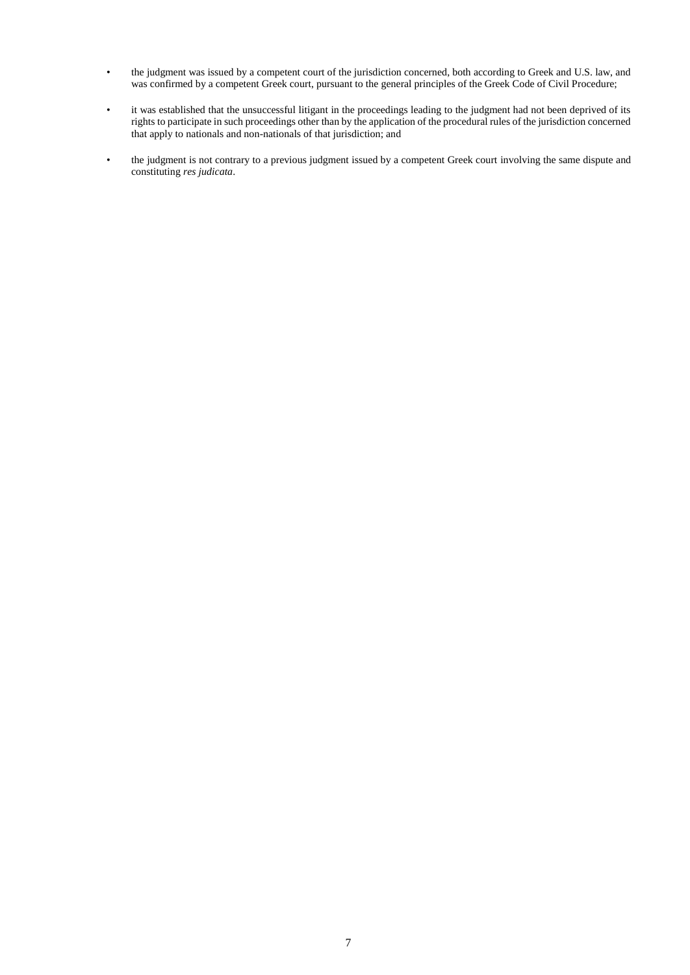- the judgment was issued by a competent court of the jurisdiction concerned, both according to Greek and U.S. law, and was confirmed by a competent Greek court, pursuant to the general principles of the Greek Code of Civil Procedure;
- it was established that the unsuccessful litigant in the proceedings leading to the judgment had not been deprived of its rights to participate in such proceedings other than by the application of the procedural rules of the jurisdiction concerned that apply to nationals and non-nationals of that jurisdiction; and
- the judgment is not contrary to a previous judgment issued by a competent Greek court involving the same dispute and constituting *res judicata*.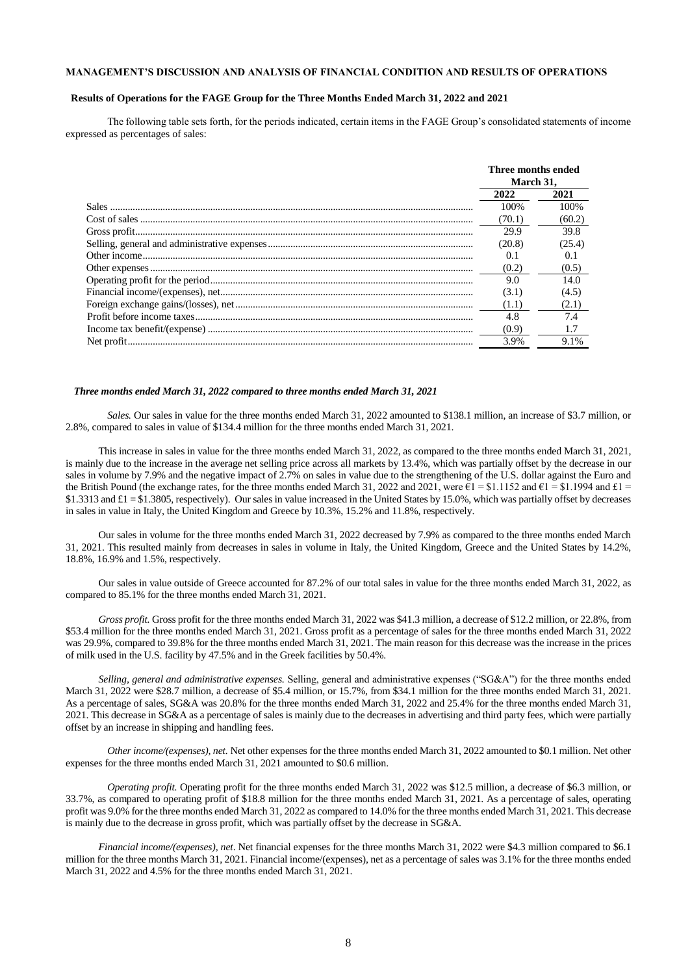## **MANAGEMENT'S DISCUSSION AND ANALYSIS OF FINANCIAL CONDITION AND RESULTS OF OPERATIONS**

#### **Results of Operations for the FAGE Group for the Three Months Ended March 31, 2022 and 2021**

 The following table sets forth, for the periods indicated, certain items in the FAGE Group's consolidated statements of income expressed as percentages of sales:

| Three months ended<br>March 31. |        |
|---------------------------------|--------|
| 2022                            | 2021   |
| 100\%                           | 100%   |
| (70.1)                          | (60.2) |
| 29.9                            | 39.8   |
| (20.8)                          | (25.4) |
| 0.1                             | 0.1    |
| (0.2)                           | (0.5)  |
| 9.0                             | 14.0   |
| (3.1)                           | (4.5)  |
| (1.1)                           | (2.1)  |
| 4.8                             | 74     |
| (0.9)                           |        |
| 3.9%                            | 9.1%   |

#### *Three months ended March 31, 2022 compared to three months ended March 31, 2021*

*Sales.* Our sales in value for the three months ended March 31, 2022 amounted to \$138.1 million, an increase of \$3.7 million, or 2.8%, compared to sales in value of \$134.4 million for the three months ended March 31, 2021.

This increase in sales in value for the three months ended March 31, 2022, as compared to the three months ended March 31, 2021, is mainly due to the increase in the average net selling price across all markets by 13.4%, which was partially offset by the decrease in our sales in volume by 7.9% and the negative impact of 2.7% on sales in value due to the strengthening of the U.S. dollar against the Euro and the British Pound (the exchange rates, for the three months ended March 31, 2022 and 2021, were  $\epsilon$ 1 = \$1.1152 and  $\epsilon$ 1 = \$1.1994 and  $\epsilon$ 1 = \$1.3313 and £1 = \$1.3805, respectively). Our sales in value increased in the United States by 15.0%, which was partially offset by decreases in sales in value in Italy, the United Kingdom and Greece by 10.3%, 15.2% and 11.8%, respectively.

Our sales in volume for the three months ended March 31, 2022 decreased by 7.9% as compared to the three months ended March 31, 2021. This resulted mainly from decreases in sales in volume in Italy, the United Kingdom, Greece and the United States by 14.2%, 18.8%, 16.9% and 1.5%, respectively.

Our sales in value outside of Greece accounted for 87.2% of our total sales in value for the three months ended March 31, 2022, as compared to 85.1% for the three months ended March 31, 2021.

*Gross profit.* Gross profit for the three months ended March 31, 2022 was \$41.3 million, a decrease of \$12.2 million, or 22.8%, from \$53.4 million for the three months ended March 31, 2021. Gross profit as a percentage of sales for the three months ended March 31, 2022 was 29.9%, compared to 39.8% for the three months ended March 31, 2021. The main reason for this decrease was the increase in the prices of milk used in the U.S. facility by 47.5% and in the Greek facilities by 50.4%.

*Selling, general and administrative expenses.* Selling, general and administrative expenses ("SG&A") for the three months ended March 31, 2022 were \$28.7 million, a decrease of \$5.4 million, or 15.7%, from \$34.1 million for the three months ended March 31, 2021. As a percentage of sales, SG&A was 20.8% for the three months ended March 31, 2022 and 25.4% for the three months ended March 31, 2021. This decrease in SG&A as a percentage of sales is mainly due to the decreases in advertising and third party fees, which were partially offset by an increase in shipping and handling fees.

*Other income/(expenses), net.* Net other expenses for the three months ended March 31, 2022 amounted to \$0.1 million. Net other expenses for the three months ended March 31, 2021 amounted to \$0.6 million.

*Operating profit.* Operating profit for the three months ended March 31, 2022 was \$12.5 million, a decrease of \$6.3 million, or 33.7%, as compared to operating profit of \$18.8 million for the three months ended March 31, 2021. As a percentage of sales, operating profit was 9.0% for the three months ended March 31, 2022 as compared to 14.0% for the three months ended March 31, 2021. This decrease is mainly due to the decrease in gross profit, which was partially offset by the decrease in SG&A.

*Financial income/(expenses), net*. Net financial expenses for the three months March 31, 2022 were \$4.3 million compared to \$6.1 million for the three months March 31, 2021. Financial income/(expenses), net as a percentage of sales was 3.1% for the three months ended March 31, 2022 and 4.5% for the three months ended March 31, 2021.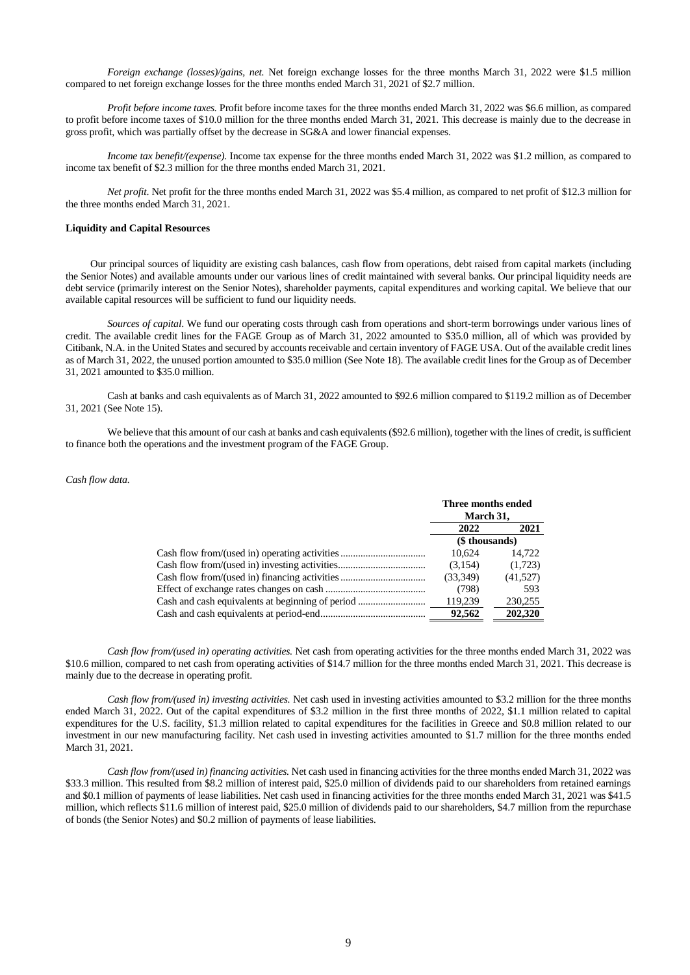*Foreign exchange (losses)/gains, net.* Net foreign exchange losses for the three months March 31, 2022 were \$1.5 million compared to net foreign exchange losses for the three months ended March 31, 2021 of \$2.7 million.

*Profit before income taxes.* Profit before income taxes for the three months ended March 31, 2022 was \$6.6 million, as compared to profit before income taxes of \$10.0 million for the three months ended March 31, 2021. This decrease is mainly due to the decrease in gross profit, which was partially offset by the decrease in SG&A and lower financial expenses.

*Income tax benefit/(expense).* Income tax expense for the three months ended March 31, 2022 was \$1.2 million, as compared to income tax benefit of \$2.3 million for the three months ended March 31, 2021.

*Net profit*. Net profit for the three months ended March 31, 2022 was \$5.4 million, as compared to net profit of \$12.3 million for the three months ended March 31, 2021.

#### **Liquidity and Capital Resources**

Our principal sources of liquidity are existing cash balances, cash flow from operations, debt raised from capital markets (including the Senior Notes) and available amounts under our various lines of credit maintained with several banks. Our principal liquidity needs are debt service (primarily interest on the Senior Notes), shareholder payments, capital expenditures and working capital. We believe that our available capital resources will be sufficient to fund our liquidity needs.

*Sources of capital*. We fund our operating costs through cash from operations and short-term borrowings under various lines of credit. The available credit lines for the FAGE Group as of March 31, 2022 amounted to \$35.0 million, all of which was provided by Citibank, N.A. in the United States and secured by accounts receivable and certain inventory of FAGE USA. Out of the available credit lines as of March 31, 2022, the unused portion amounted to \$35.0 million (See Note 18). The available credit lines for the Group as of December 31, 2021 amounted to \$35.0 million.

Cash at banks and cash equivalents as of March 31, 2022 amounted to \$92.6 million compared to \$119.2 million as of December 31, 2021 (See Note 15).

We believe that this amount of our cash at banks and cash equivalents (\$92.6 million), together with the lines of credit, is sufficient to finance both the operations and the investment program of the FAGE Group.

#### *Cash flow data.*

|                                                  | Three months ended |          |
|--------------------------------------------------|--------------------|----------|
|                                                  | March 31,          |          |
|                                                  | 2022               | 2021     |
|                                                  | (\$ thousands)     |          |
| Cash flow from/(used in) operating activities    | 10.624             | 14.722   |
|                                                  | (3,154)            | (1,723)  |
| Cash flow from/(used in) financing activities    | (33,349)           | (41,527) |
|                                                  | (798)              | 593      |
| Cash and cash equivalents at beginning of period | 119,239            | 230,255  |
|                                                  | 92.562             | 202.320  |

*Cash flow from/(used in) operating activities.* Net cash from operating activities for the three months ended March 31, 2022 was \$10.6 million, compared to net cash from operating activities of \$14.7 million for the three months ended March 31, 2021. This decrease is mainly due to the decrease in operating profit.

*Cash flow from/(used in) investing activities.* Net cash used in investing activities amounted to \$3.2 million for the three months ended March 31, 2022. Out of the capital expenditures of \$3.2 million in the first three months of 2022, \$1.1 million related to capital expenditures for the U.S. facility, \$1.3 million related to capital expenditures for the facilities in Greece and \$0.8 million related to our investment in our new manufacturing facility*.* Net cash used in investing activities amounted to \$1.7 million for the three months ended March 31, 2021.

*Cash flow from/(used in) financing activities.* Net cash used in financing activities for the three months ended March 31, 2022 was \$33.3 million. This resulted from \$8.2 million of interest paid, \$25.0 million of dividends paid to our shareholders from retained earnings and \$0.1 million of payments of lease liabilities. Net cash used in financing activities for the three months ended March 31, 2021 was \$41.5 million, which reflects \$11.6 million of interest paid, \$25.0 million of dividends paid to our shareholders, \$4.7 million from the repurchase of bonds (the Senior Notes) and \$0.2 million of payments of lease liabilities.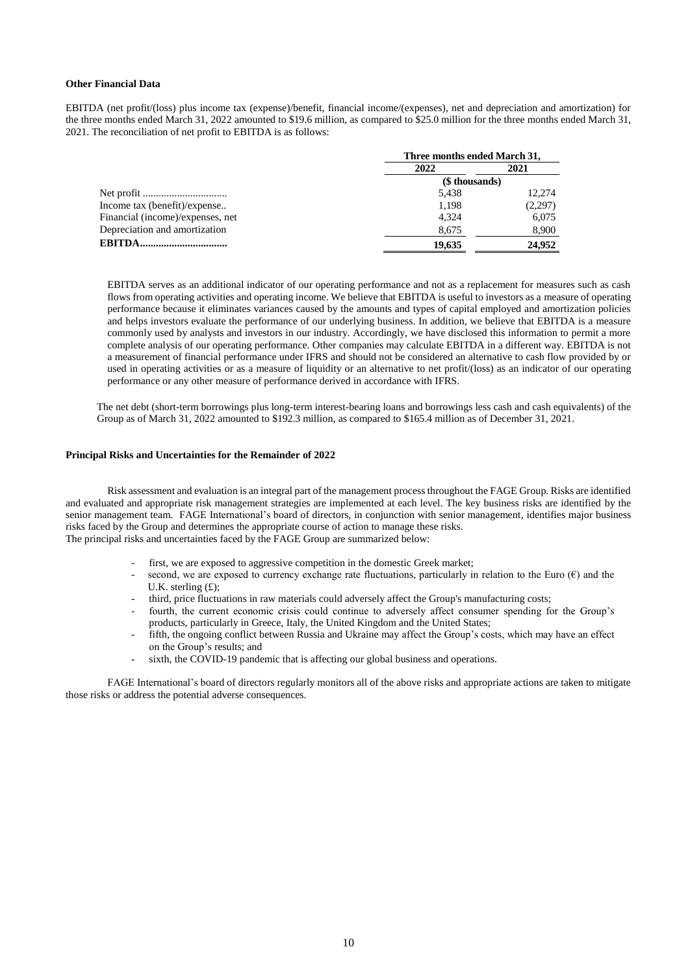#### **Other Financial Data**

EBITDA (net profit/(loss) plus income tax (expense)/benefit, financial income/(expenses), net and depreciation and amortization) for the three months ended March 31, 2022 amounted to \$19.6 million, as compared to \$25.0 million for the three months ended March 31, 2021. The reconciliation of net profit to EBITDA is as follows:

|                                  | Three months ended March 31, |         |  |  |
|----------------------------------|------------------------------|---------|--|--|
|                                  | 2022                         | 2021    |  |  |
|                                  | (\$ thousands)               |         |  |  |
|                                  | 5.438                        | 12.274  |  |  |
| Income tax (benefit)/expense     | 1.198                        | (2,297) |  |  |
| Financial (income)/expenses, net | 4.324                        | 6,075   |  |  |
| Depreciation and amortization    | 8,675                        | 8,900   |  |  |
| <b>EBITDA</b><br>                | 19,635                       | 24.952  |  |  |

EBITDA serves as an additional indicator of our operating performance and not as a replacement for measures such as cash flows from operating activities and operating income. We believe that EBITDA is useful to investors as a measure of operating performance because it eliminates variances caused by the amounts and types of capital employed and amortization policies and helps investors evaluate the performance of our underlying business. In addition, we believe that EBITDA is a measure commonly used by analysts and investors in our industry. Accordingly, we have disclosed this information to permit a more complete analysis of our operating performance. Other companies may calculate EBITDA in a different way. EBITDA is not a measurement of financial performance under IFRS and should not be considered an alternative to cash flow provided by or used in operating activities or as a measure of liquidity or an alternative to net profit/(loss) as an indicator of our operating performance or any other measure of performance derived in accordance with IFRS.

The net debt (short-term borrowings plus long-term interest-bearing loans and borrowings less cash and cash equivalents) of the Group as of March 31, 2022 amounted to \$192.3 million, as compared to \$165.4 million as of December 31, 2021.

#### **Principal Risks and Uncertainties for the Remainder of 2022**

Risk assessment and evaluation is an integral part of the management process throughout the FAGE Group. Risks are identified and evaluated and appropriate risk management strategies are implemented at each level. The key business risks are identified by the senior management team. FAGE International's board of directors, in conjunction with senior management, identifies major business risks faced by the Group and determines the appropriate course of action to manage these risks. The principal risks and uncertainties faced by the FAGE Group are summarized below:

- first, we are exposed to aggressive competition in the domestic Greek market;
- second, we are exposed to currency exchange rate fluctuations, particularly in relation to the Euro  $(\epsilon)$  and the U.K. sterling (£);
- third, price fluctuations in raw materials could adversely affect the Group's manufacturing costs;
- fourth, the current economic crisis could continue to adversely affect consumer spending for the Group's products, particularly in Greece, Italy, the United Kingdom and the United States;
- fifth, the ongoing conflict between Russia and Ukraine may affect the Group's costs, which may have an effect on the Group's results; and
- sixth, the COVID-19 pandemic that is affecting our global business and operations.

FAGE International's board of directors regularly monitors all of the above risks and appropriate actions are taken to mitigate those risks or address the potential adverse consequences.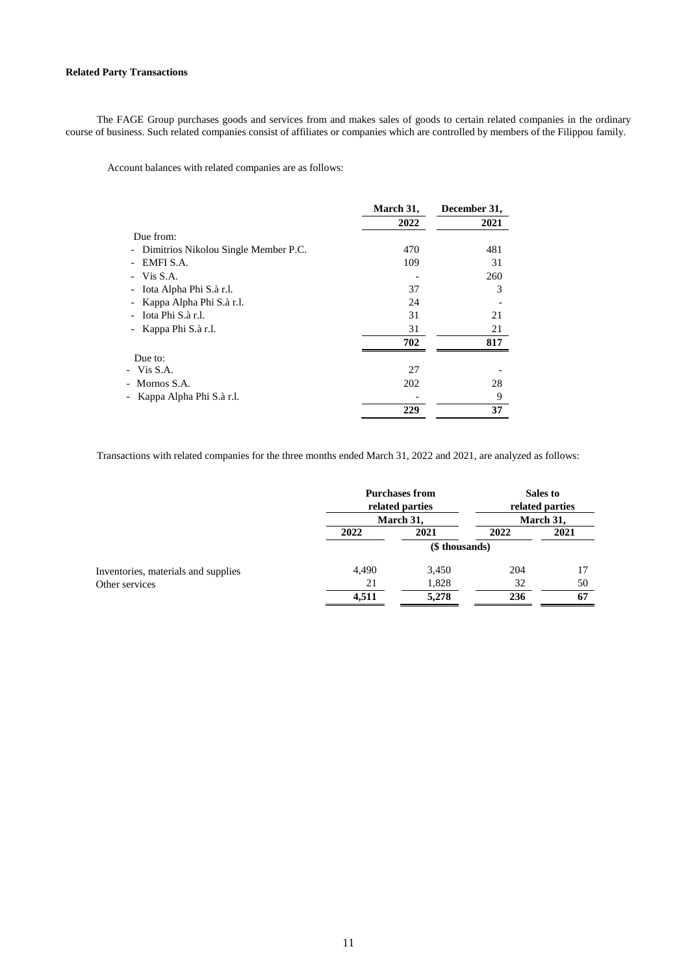## **Related Party Transactions**

The FAGE Group purchases goods and services from and makes sales of goods to certain related companies in the ordinary course of business. Such related companies consist of affiliates or companies which are controlled by members of the Filippou family.

Account balances with related companies are as follows:

|                                      | March 31, | December 31, |
|--------------------------------------|-----------|--------------|
|                                      | 2022      | 2021         |
| Due from:                            |           |              |
| Dimitrios Nikolou Single Member P.C. | 470       | 481          |
| EMFI S.A.                            | 109       | 31           |
| Vis S.A.                             |           | 260          |
| Iota Alpha Phi S.à r.l.              | 37        | 3            |
| Kappa Alpha Phi S.à r.l.             | 24        |              |
| Iota Phi S.à r.l.                    | 31        | 21           |
| Kappa Phi S.à r.l.                   | 31        | 21           |
|                                      | 702       | 817          |
| Due to:                              |           |              |
| - Vis S.A.                           | 27        |              |
| - Mornos S.A.                        | 202       | 28           |
| Kappa Alpha Phi S.à r.l.<br>-        |           | 9            |
|                                      | 229       | 37           |

Transactions with related companies for the three months ended March 31, 2022 and 2021, are analyzed as follows:

|                                     | <b>Purchases from</b><br>related parties |                | Sales to<br>related parties |           |  |
|-------------------------------------|------------------------------------------|----------------|-----------------------------|-----------|--|
|                                     |                                          | March 31.      |                             | March 31, |  |
|                                     | 2022                                     | 2021           |                             | 2021      |  |
|                                     |                                          | (\$ thousands) |                             |           |  |
| Inventories, materials and supplies | 4,490                                    | 3,450          | 204                         | 17        |  |
| Other services                      | 21                                       | 1,828          | 32                          | 50        |  |
|                                     | 4,511                                    | 5,278          | 236                         | 67        |  |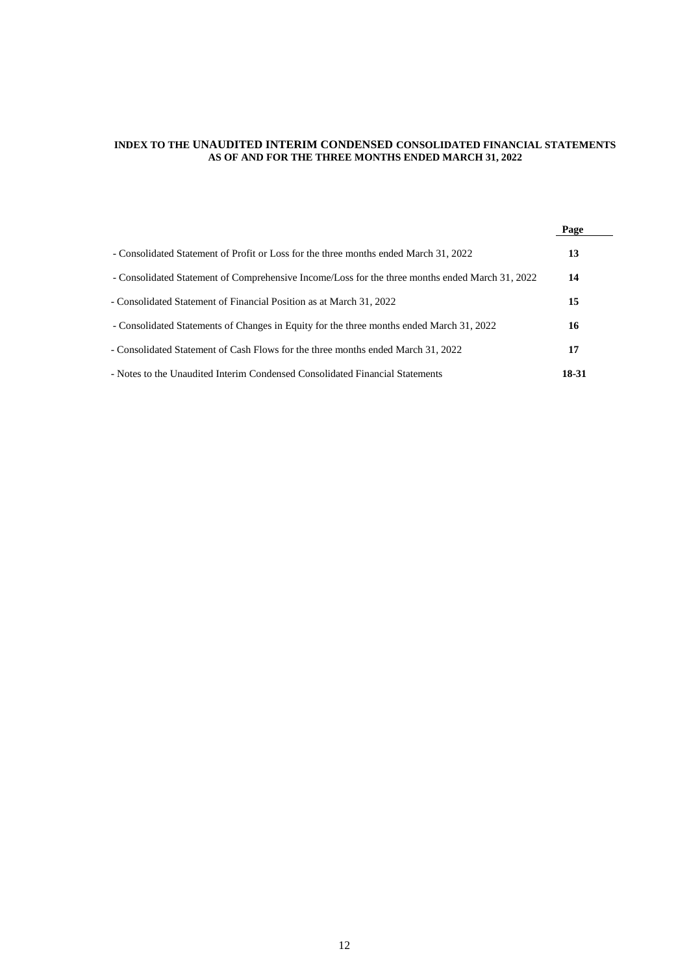## **INDEX TO THE UNAUDITED INTERIM CONDENSED CONSOLIDATED FINANCIAL STATEMENTS AS OF AND FOR THE THREE MONTHS ENDED MARCH 31, 2022**

|                                                                                                 | Page  |  |
|-------------------------------------------------------------------------------------------------|-------|--|
| - Consolidated Statement of Profit or Loss for the three months ended March 31, 2022            | 13    |  |
| - Consolidated Statement of Comprehensive Income/Loss for the three months ended March 31, 2022 | 14    |  |
| - Consolidated Statement of Financial Position as at March 31, 2022                             | 15    |  |
| - Consolidated Statements of Changes in Equity for the three months ended March 31, 2022        | 16    |  |
| - Consolidated Statement of Cash Flows for the three months ended March 31, 2022                | 17    |  |
| - Notes to the Unaudited Interim Condensed Consolidated Financial Statements                    | 18-31 |  |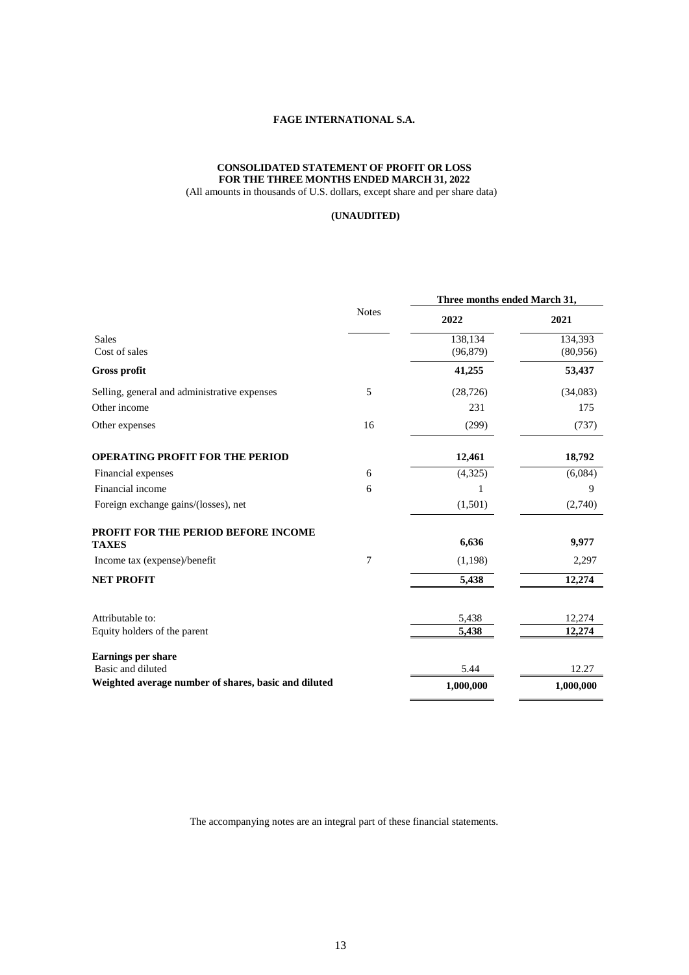## **CONSOLIDATED STATEMENT OF PROFIT OR LOSS FOR THE THREE MONTHS ENDED MARCH 31, 2022**

(All amounts in thousands of U.S. dollars, except share and per share data)

## **(UNAUDITED)**

|                                                      |              | Three months ended March 31,<br>2022 |           |
|------------------------------------------------------|--------------|--------------------------------------|-----------|
|                                                      | <b>Notes</b> |                                      | 2021      |
| <b>Sales</b>                                         |              | 138,134                              | 134,393   |
| Cost of sales                                        |              | (96, 879)                            | (80,956)  |
| <b>Gross profit</b>                                  |              | 41,255                               | 53,437    |
| Selling, general and administrative expenses         | 5            | (28, 726)                            | (34,083)  |
| Other income                                         |              | 231                                  | 175       |
| Other expenses                                       | 16           | (299)                                | (737)     |
| <b>OPERATING PROFIT FOR THE PERIOD</b>               |              | 12,461                               | 18,792    |
| Financial expenses                                   | 6            | (4, 325)                             | (6,084)   |
| Financial income                                     | 6            | 1                                    | 9         |
| Foreign exchange gains/(losses), net                 |              | (1,501)                              | (2,740)   |
| PROFIT FOR THE PERIOD BEFORE INCOME                  |              |                                      |           |
| <b>TAXES</b>                                         |              | 6,636                                | 9,977     |
| Income tax (expense)/benefit                         | 7            | (1,198)                              | 2,297     |
| <b>NET PROFIT</b>                                    |              | 5,438                                | 12,274    |
| Attributable to:                                     |              | 5,438                                | 12,274    |
| Equity holders of the parent                         |              | 5,438                                | 12,274    |
| <b>Earnings per share</b>                            |              |                                      |           |
| Basic and diluted                                    |              | 5.44                                 | 12.27     |
| Weighted average number of shares, basic and diluted |              | 1,000,000                            | 1,000,000 |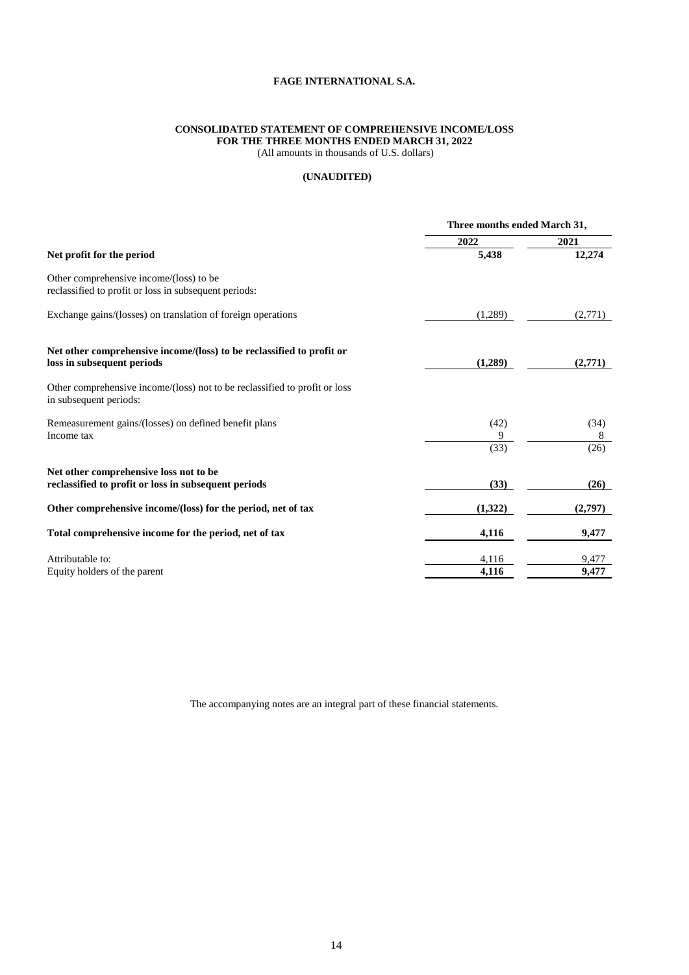## **CONSOLIDATED STATEMENT OF COMPREHENSIVE INCOME/LOSS FOR THE THREE MONTHS ENDED MARCH 31, 2022**

(All amounts in thousands of U.S. dollars)

## **(UNAUDITED)**

|                                                                                                      | Three months ended March 31, |                   |
|------------------------------------------------------------------------------------------------------|------------------------------|-------------------|
|                                                                                                      | 2022                         | 2021              |
| Net profit for the period                                                                            | 5,438                        | 12,274            |
| Other comprehensive income/(loss) to be<br>reclassified to profit or loss in subsequent periods:     |                              |                   |
| Exchange gains/(losses) on translation of foreign operations                                         | (1,289)                      | (2,771)           |
| Net other comprehensive income/(loss) to be reclassified to profit or<br>loss in subsequent periods  | (1,289)                      | (2,771)           |
| Other comprehensive income/(loss) not to be reclassified to profit or loss<br>in subsequent periods: |                              |                   |
| Remeasurement gains/(losses) on defined benefit plans<br>Income tax                                  | (42)<br>9<br>(33)            | (34)<br>8<br>(26) |
| Net other comprehensive loss not to be<br>reclassified to profit or loss in subsequent periods       | (33)                         | (26)              |
| Other comprehensive income/(loss) for the period, net of tax                                         | (1,322)                      | (2,797)           |
| Total comprehensive income for the period, net of tax                                                | 4,116                        | 9,477             |
| Attributable to:<br>Equity holders of the parent                                                     | 4,116<br>4,116               | 9,477<br>9,477    |
|                                                                                                      |                              |                   |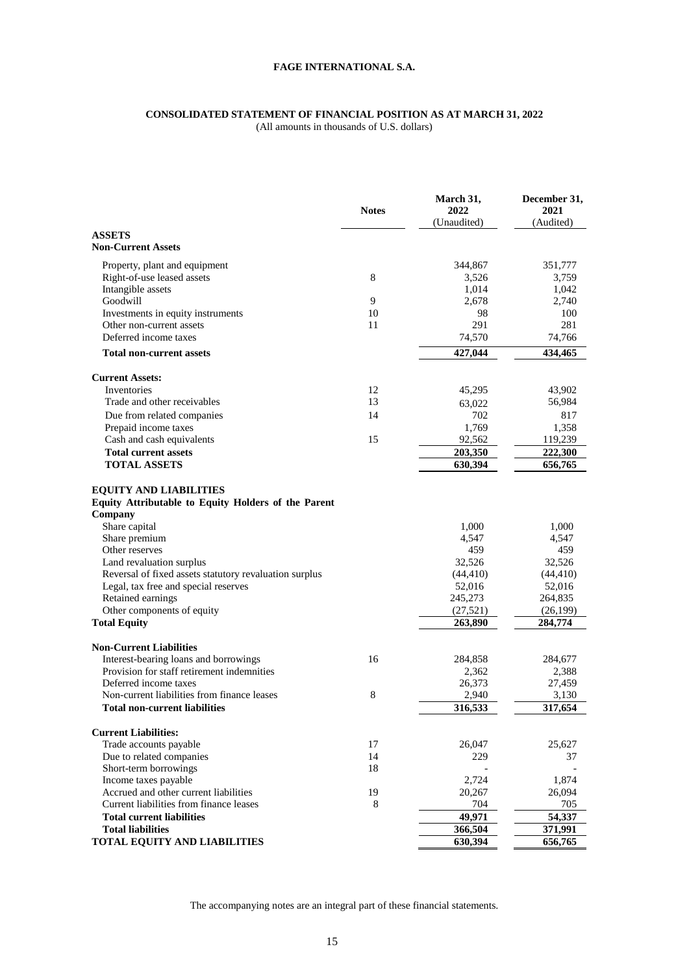## **CONSOLIDATED STATEMENT OF FINANCIAL POSITION AS AT MARCH 31, 2022**

(All amounts in thousands of U.S. dollars)

|                                                           | <b>Notes</b> | March 31,<br>2022<br>(Unaudited) | December 31,<br>2021<br>(Audited) |
|-----------------------------------------------------------|--------------|----------------------------------|-----------------------------------|
| <b>ASSETS</b>                                             |              |                                  |                                   |
| <b>Non-Current Assets</b>                                 |              |                                  |                                   |
| Property, plant and equipment                             |              | 344,867                          | 351,777                           |
| Right-of-use leased assets                                | 8            | 3,526                            | 3,759                             |
| Intangible assets                                         |              | 1,014                            | 1,042                             |
| Goodwill                                                  | 9            | 2,678                            | 2,740                             |
| Investments in equity instruments                         | 10           | 98                               | 100                               |
| Other non-current assets                                  | 11           | 291                              | 281                               |
| Deferred income taxes                                     |              | 74,570                           | 74,766                            |
| <b>Total non-current assets</b>                           |              | 427,044                          | 434,465                           |
| <b>Current Assets:</b>                                    |              |                                  |                                   |
| Inventories                                               | 12           | 45,295                           | 43,902                            |
| Trade and other receivables                               | 13           | 63,022                           | 56,984                            |
| Due from related companies                                | 14           | 702                              | 817                               |
| Prepaid income taxes                                      |              | 1,769                            | 1,358                             |
| Cash and cash equivalents                                 | 15           | 92,562                           | 119,239                           |
| <b>Total current assets</b>                               |              | 203,350                          | 222,300                           |
| <b>TOTAL ASSETS</b>                                       |              | 630,394                          | 656,765                           |
| <b>EQUITY AND LIABILITIES</b>                             |              |                                  |                                   |
| Equity Attributable to Equity Holders of the Parent       |              |                                  |                                   |
| Company                                                   |              |                                  |                                   |
| Share capital                                             |              | 1,000                            | 1,000                             |
| Share premium                                             |              | 4,547                            | 4,547                             |
| Other reserves                                            |              | 459                              | 459                               |
| Land revaluation surplus                                  |              | 32,526                           | 32,526                            |
| Reversal of fixed assets statutory revaluation surplus    |              | (44, 410)                        | (44, 410)                         |
| Legal, tax free and special reserves<br>Retained earnings |              | 52,016<br>245,273                | 52,016<br>264,835                 |
| Other components of equity                                |              | (27, 521)                        | (26, 199)                         |
| <b>Total Equity</b>                                       |              | 263,890                          | 284,774                           |
|                                                           |              |                                  |                                   |
| <b>Non-Current Liabilities</b>                            |              |                                  |                                   |
| Interest-bearing loans and borrowings                     | 16           | 284,858                          | 284,677                           |
| Provision for staff retirement indemnities                |              | 2,362                            | 2,388                             |
| Deferred income taxes                                     |              | 26,373                           | 27,459                            |
| Non-current liabilities from finance leases               | 8            | 2,940                            | 3,130                             |
| <b>Total non-current liabilities</b>                      |              | 316,533                          | 317,654                           |
| <b>Current Liabilities:</b>                               |              |                                  |                                   |
| Trade accounts payable                                    | 17           | 26,047                           | 25,627                            |
| Due to related companies                                  | 14           | 229                              | 37                                |
| Short-term borrowings                                     | 18           |                                  |                                   |
| Income taxes payable                                      |              | 2,724                            | 1,874                             |
| Accrued and other current liabilities                     | 19           | 20,267                           | 26,094                            |
| Current liabilities from finance leases                   | 8            | 704                              | 705                               |
| <b>Total current liabilities</b>                          |              | 49,971                           | 54,337                            |
| <b>Total liabilities</b>                                  |              | 366,504                          | 371,991                           |
| TOTAL EQUITY AND LIABILITIES                              |              | 630,394                          | 656,765                           |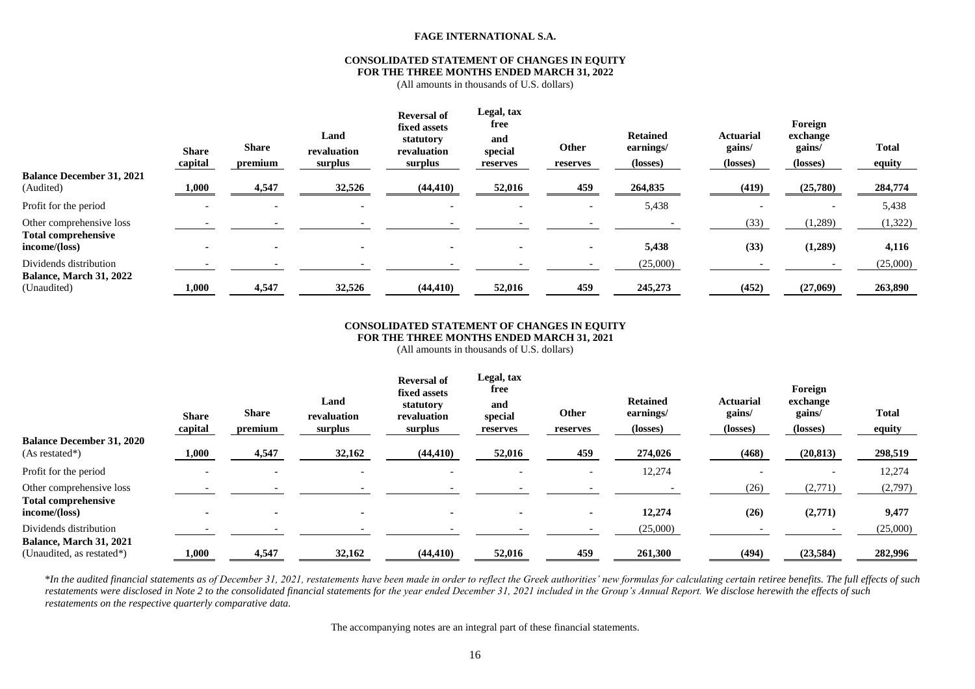#### **CONSOLIDATED STATEMENT OF CHANGES IN EQUITY FOR THE THREE MONTHS ENDED MARCH 31, 2022**

(All amounts in thousands of U.S. dollars)

| <b>Balance December 31, 2021</b><br>(Audited)                           | <b>Share</b><br>capital<br>1,000 | <b>Share</b><br>premium<br>4,547 | Land<br>revaluation<br>surplus<br>32,526 | <b>Reversal of</b><br>fixed assets<br>statutory<br>revaluation<br>surplus<br>(44, 410) | Legal, tax<br>free<br>and<br>special<br>reserves<br>52,016 | Other<br>reserves<br>459 | <b>Retained</b><br>earnings/<br>(losses)<br>264,835 | <b>Actuarial</b><br>gains/<br>(losses)<br>(419) | Foreign<br>exchange<br>gains/<br>(losses)<br>(25,780) | <b>Total</b><br>equity<br>284,774 |
|-------------------------------------------------------------------------|----------------------------------|----------------------------------|------------------------------------------|----------------------------------------------------------------------------------------|------------------------------------------------------------|--------------------------|-----------------------------------------------------|-------------------------------------------------|-------------------------------------------------------|-----------------------------------|
| Profit for the period                                                   | $\overline{\phantom{a}}$         |                                  | $\overline{\phantom{0}}$                 |                                                                                        |                                                            | $\overline{\phantom{0}}$ | 5,438                                               |                                                 | $\overline{\phantom{0}}$                              | 5,438                             |
| Other comprehensive loss<br><b>Total comprehensive</b><br>income/(loss) | $\blacksquare$                   |                                  |                                          |                                                                                        |                                                            | $\blacksquare$           | 5,438                                               | (33)<br>(33)                                    | (1,289)<br>(1,289)                                    | (1,322)<br>4,116                  |
| Dividends distribution<br>Balance, March 31, 2022<br>(Unaudited)        | 1,000                            | 4,547                            | 32,526                                   | (44, 410)                                                                              | 52,016                                                     | 459                      | (25,000)<br>245,273                                 | (452)                                           | (27,069)                                              | (25,000)<br>263,890               |

#### **CONSOLIDATED STATEMENT OF CHANGES IN EQUITY FOR THE THREE MONTHS ENDED MARCH 31, 2021**

(All amounts in thousands of U.S. dollars)

| <b>Balance December 31, 2020</b><br>$(As restated*)$ | <b>Share</b><br>capital<br>1,000 | <b>Share</b><br>premium<br>4,547 | Land<br>revaluation<br>surplus<br>32,162 | <b>Reversal of</b><br>fixed assets<br>statutory<br>revaluation<br>surplus<br>(44, 410) | Legal, tax<br>free<br>and<br>special<br>reserves<br>52,016 | Other<br>reserves<br>459 | <b>Retained</b><br>earnings/<br>(losses)<br>274,026 | <b>Actuarial</b><br>gains/<br>(losses)<br>(468) | Foreign<br>exchange<br>gains/<br>(losses)<br>(20, 813) | <b>Total</b><br>equity<br>298,519 |
|------------------------------------------------------|----------------------------------|----------------------------------|------------------------------------------|----------------------------------------------------------------------------------------|------------------------------------------------------------|--------------------------|-----------------------------------------------------|-------------------------------------------------|--------------------------------------------------------|-----------------------------------|
|                                                      |                                  |                                  |                                          |                                                                                        |                                                            |                          |                                                     |                                                 |                                                        |                                   |
| Profit for the period                                |                                  |                                  |                                          |                                                                                        |                                                            |                          | 12,274                                              |                                                 | $\overline{\phantom{a}}$                               | 12,274                            |
| Other comprehensive loss                             |                                  |                                  |                                          |                                                                                        |                                                            |                          |                                                     | (26)                                            | (2,771)                                                | (2,797)                           |
| <b>Total comprehensive</b>                           |                                  |                                  |                                          |                                                                                        |                                                            |                          |                                                     |                                                 |                                                        |                                   |
| income/(loss)                                        |                                  |                                  |                                          |                                                                                        |                                                            |                          | 12,274                                              | (26)                                            | (2,771)                                                | 9,477                             |
| Dividends distribution                               |                                  |                                  |                                          |                                                                                        |                                                            |                          | (25,000)                                            |                                                 |                                                        | (25,000)                          |
| <b>Balance, March 31, 2021</b>                       |                                  |                                  |                                          |                                                                                        |                                                            |                          |                                                     |                                                 |                                                        |                                   |
| (Unaudited, as restated*)                            | 1,000                            | 4,547                            | 32,162                                   | (44, 410)                                                                              | 52,016                                                     | 459                      | 261,300                                             | (494)                                           | (23,584)                                               | 282,996                           |

\*In the audited financial statements as of December 31, 2021, restatements have been made in order to reflect the Greek authorities' new formulas for calculating certain retiree benefits. The full effects of such restatements were disclosed in Note 2 to the consolidated financial statements for the year ended December 31, 2021 included in the Group's Annual Report. We disclose herewith the effects of such *restatements on the respective quarterly comparative data.*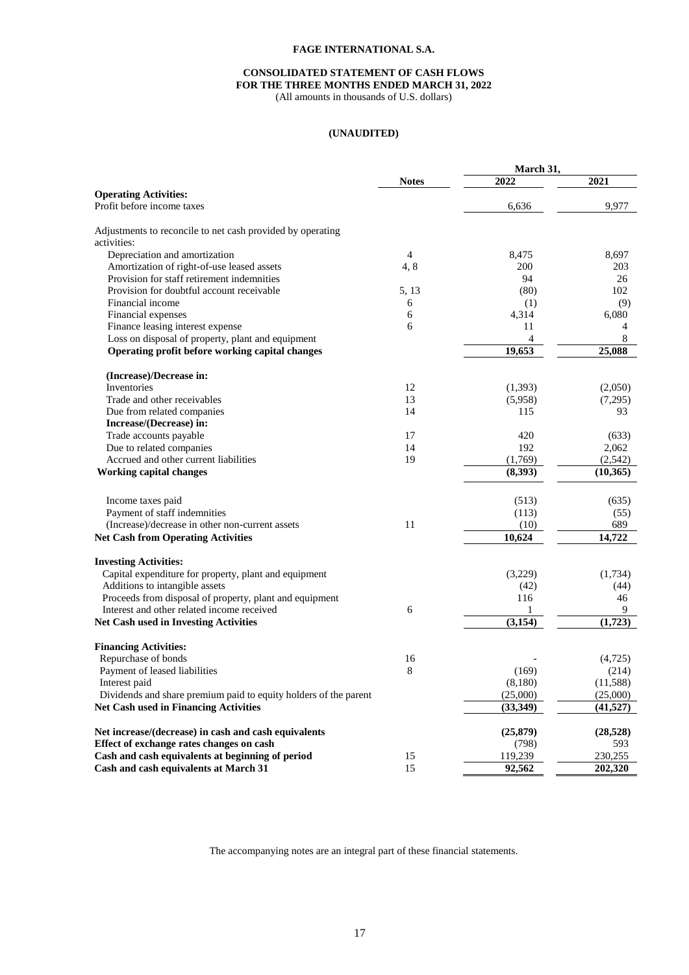## **CONSOLIDATED STATEMENT OF CASH FLOWS FOR THE THREE MONTHS ENDED MARCH 31, 2022**

(All amounts in thousands of U.S. dollars)

## **(UNAUDITED)**

|                                                                  |              | March 31,          |           |
|------------------------------------------------------------------|--------------|--------------------|-----------|
|                                                                  | <b>Notes</b> | 2022               | 2021      |
| <b>Operating Activities:</b>                                     |              |                    |           |
| Profit before income taxes                                       |              | 6,636              | 9,977     |
| Adjustments to reconcile to net cash provided by operating       |              |                    |           |
| activities:                                                      |              |                    |           |
| Depreciation and amortization                                    | 4            | 8,475              | 8,697     |
| Amortization of right-of-use leased assets                       | 4,8          | 200                | 203       |
| Provision for staff retirement indemnities                       |              | 94                 | 26        |
| Provision for doubtful account receivable                        | 5, 13        | (80)               | 102       |
| Financial income                                                 | 6            | (1)                | (9)       |
| Financial expenses                                               | 6            | 4,314              | 6,080     |
| Finance leasing interest expense                                 | 6            | 11                 | 4         |
| Loss on disposal of property, plant and equipment                |              | 4                  | 8         |
| Operating profit before working capital changes                  |              | 19,653             | 25,088    |
| (Increase)/Decrease in:                                          |              |                    |           |
| Inventories                                                      | 12           | (1,393)            | (2,050)   |
| Trade and other receivables                                      | 13           | (5,958)            | (7,295)   |
| Due from related companies                                       | 14           | 115                | 93        |
| Increase/(Decrease) in:                                          |              |                    |           |
| Trade accounts payable                                           | 17           | 420                | (633)     |
| Due to related companies                                         | 14           | 192                | 2,062     |
| Accrued and other current liabilities                            | 19           |                    | (2,542)   |
| <b>Working capital changes</b>                                   |              | (1,769)<br>(8,393) | (10, 365) |
|                                                                  |              |                    |           |
| Income taxes paid                                                |              | (513)              | (635)     |
| Payment of staff indemnities                                     |              | (113)              | (55)      |
| (Increase)/decrease in other non-current assets                  | 11           | (10)               | 689       |
| <b>Net Cash from Operating Activities</b>                        |              | 10,624             | 14,722    |
| <b>Investing Activities:</b>                                     |              |                    |           |
| Capital expenditure for property, plant and equipment            |              | (3,229)            | (1,734)   |
| Additions to intangible assets                                   |              | (42)               | (44)      |
| Proceeds from disposal of property, plant and equipment          |              | 116                | 46        |
| Interest and other related income received                       | 6            | 1                  | 9         |
| <b>Net Cash used in Investing Activities</b>                     |              | (3, 154)           | (1,723)   |
| <b>Financing Activities:</b>                                     |              |                    |           |
| Repurchase of bonds                                              | 16           |                    | (4,725)   |
| Payment of leased liabilities                                    | 8            | (169)              | (214)     |
| Interest paid                                                    |              | (8,180)            | (11,588)  |
| Dividends and share premium paid to equity holders of the parent |              | (25,000)           | (25,000)  |
| <b>Net Cash used in Financing Activities</b>                     |              | (33, 349)          | (41, 527) |
| Net increase/(decrease) in cash and cash equivalents             |              | (25,879)           | (28, 528) |
| Effect of exchange rates changes on cash                         |              | (798)              | 593       |
| Cash and cash equivalents at beginning of period                 | 15           | 119,239            | 230,255   |
| Cash and cash equivalents at March 31                            | 15           | 92,562             | 202,320   |
|                                                                  |              |                    |           |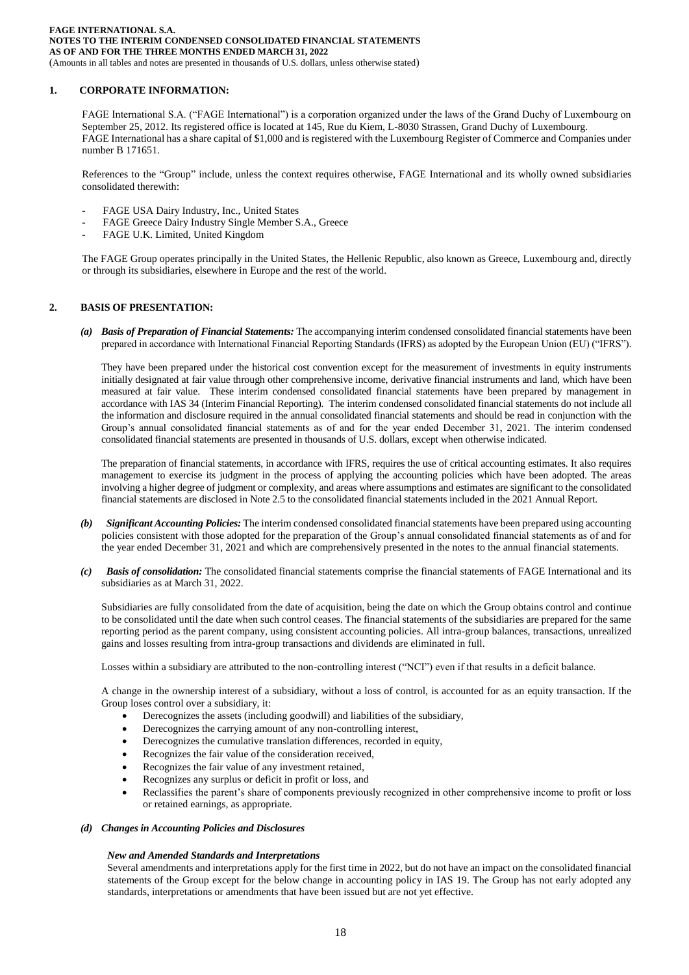(Amounts in all tables and notes are presented in thousands of U.S. dollars, unless otherwise stated)

## **1. CORPORATE INFORMATION:**

FAGE International S.A. ("FAGE International") is a corporation organized under the laws of the Grand Duchy of Luxembourg on September 25, 2012. Its registered office is located at 145, Rue du Kiem, L-8030 Strassen, Grand Duchy of Luxembourg. FAGE International has a share capital of \$1,000 and is registered with the Luxembourg Register of Commerce and Companies under number B 171651.

References to the "Group" include, unless the context requires otherwise, FAGE International and its wholly owned subsidiaries consolidated therewith:

- FAGE USA Dairy Industry, Inc., United States
- FAGE Greece Dairy Industry Single Member S.A., Greece
- FAGE U.K. Limited, United Kingdom

The FAGE Group operates principally in the United States, the Hellenic Republic, also known as Greece, Luxembourg and, directly or through its subsidiaries, elsewhere in Europe and the rest of the world.

## **2. BASIS OF PRESENTATION:**

*(a) Basis of Preparation of Financial Statements:* The accompanying interim condensed consolidated financial statements have been prepared in accordance with International Financial Reporting Standards (IFRS) as adopted by the European Union (EU) ("IFRS").

They have been prepared under the historical cost convention except for the measurement of investments in equity instruments initially designated at fair value through other comprehensive income, derivative financial instruments and land, which have been measured at fair value. These interim condensed consolidated financial statements have been prepared by management in accordance with IAS 34 (Interim Financial Reporting). The interim condensed consolidated financial statements do not include all the information and disclosure required in the annual consolidated financial statements and should be read in conjunction with the Group's annual consolidated financial statements as of and for the year ended December 31, 2021. The interim condensed consolidated financial statements are presented in thousands of U.S. dollars, except when otherwise indicated.

The preparation of financial statements, in accordance with IFRS, requires the use of critical accounting estimates. It also requires management to exercise its judgment in the process of applying the accounting policies which have been adopted. The areas involving a higher degree of judgment or complexity, and areas where assumptions and estimates are significant to the consolidated financial statements are disclosed in Note 2.5 to the consolidated financial statements included in the 2021 Annual Report.

- *(b) Significant Accounting Policies:* The interim condensed consolidated financial statements have been prepared using accounting policies consistent with those adopted for the preparation of the Group's annual consolidated financial statements as of and for the year ended December 31, 2021 and which are comprehensively presented in the notes to the annual financial statements.
- *(c) Basis of consolidation:* The consolidated financial statements comprise the financial statements of FAGE International and its subsidiaries as at March 31, 2022.

Subsidiaries are fully consolidated from the date of acquisition, being the date on which the Group obtains control and continue to be consolidated until the date when such control ceases. The financial statements of the subsidiaries are prepared for the same reporting period as the parent company, using consistent accounting policies. All intra-group balances, transactions, unrealized gains and losses resulting from intra-group transactions and dividends are eliminated in full.

Losses within a subsidiary are attributed to the non-controlling interest ("NCI") even if that results in a deficit balance.

A change in the ownership interest of a subsidiary, without a loss of control, is accounted for as an equity transaction. If the Group loses control over a subsidiary, it:

- Derecognizes the assets (including goodwill) and liabilities of the subsidiary,
- Derecognizes the carrying amount of any non-controlling interest,
- Derecognizes the cumulative translation differences, recorded in equity,
- Recognizes the fair value of the consideration received,
- Recognizes the fair value of any investment retained,
- Recognizes any surplus or deficit in profit or loss, and
- Reclassifies the parent's share of components previously recognized in other comprehensive income to profit or loss or retained earnings, as appropriate.
- *(d) Changes in Accounting Policies and Disclosures*

#### *New and Amended Standards and Interpretations*

Several amendments and interpretations apply for the first time in 2022, but do not have an impact on the consolidated financial statements of the Group except for the below change in accounting policy in IAS 19. The Group has not early adopted any standards, interpretations or amendments that have been issued but are not yet effective.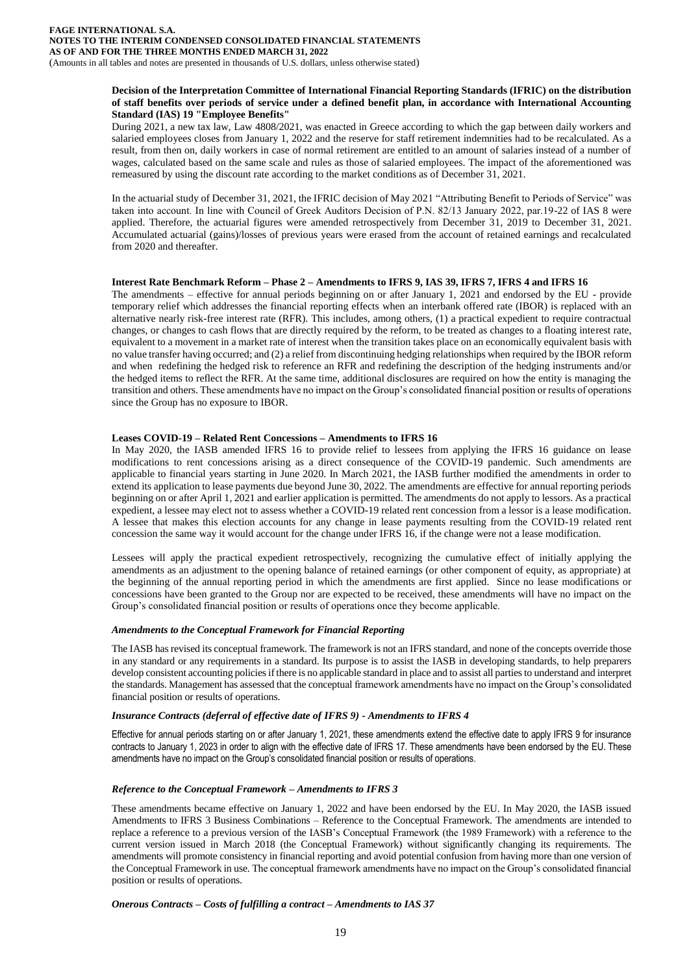#### **Decision of the Interpretation Committee of International Financial Reporting Standards (IFRIC) on the distribution of staff benefits over periods of service under a defined benefit plan, in accordance with International Accounting Standard (IAS) 19 "Employee Benefits"**

During 2021, a new tax law, Law 4808/2021, was enacted in Greece according to which the gap between daily workers and salaried employees closes from January 1, 2022 and the reserve for staff retirement indemnities had to be recalculated. As a result, from then on, daily workers in case of normal retirement are entitled to an amount of salaries instead of a number of wages, calculated based on the same scale and rules as those of salaried employees. The impact of the aforementioned was remeasured by using the discount rate according to the market conditions as of December 31, 2021.

In the actuarial study of December 31, 2021, the IFRIC decision of May 2021 "Attributing Benefit to Periods of Service" was taken into account. In line with Council of Greek Auditors Decision of P.Ν. 82/13 January 2022, par.19-22 of IAS 8 were applied. Therefore, the actuarial figures were amended retrospectively from December 31, 2019 to December 31, 2021. Accumulated actuarial (gains)/losses of previous years were erased from the account of retained earnings and recalculated from 2020 and thereafter.

#### **Interest Rate Benchmark Reform – Phase 2 – Amendments to IFRS 9, IAS 39, IFRS 7, IFRS 4 and IFRS 16**

The amendments – effective for annual periods beginning on or after January 1, 2021 and endorsed by the EU - provide temporary relief which addresses the financial reporting effects when an interbank offered rate (IBOR) is replaced with an alternative nearly risk-free interest rate (RFR). This includes, among others, (1) a practical expedient to require contractual changes, or changes to cash flows that are directly required by the reform, to be treated as changes to a floating interest rate, equivalent to a movement in a market rate of interest when the transition takes place on an economically equivalent basis with no value transfer having occurred; and (2) a relief from discontinuing hedging relationships when required by the IBOR reform and when redefining the hedged risk to reference an RFR and redefining the description of the hedging instruments and/or the hedged items to reflect the RFR. At the same time, additional disclosures are required on how the entity is managing the transition and others. These amendments have no impact on the Group's consolidated financial position or results of operations since the Group has no exposure to IBOR.

#### **Leases COVID-19 – Related Rent Concessions – Amendments to IFRS 16**

In May 2020, the IASB amended IFRS 16 to provide relief to lessees from applying the IFRS 16 guidance on lease modifications to rent concessions arising as a direct consequence of the COVID-19 pandemic. Such amendments are applicable to financial years starting in June 2020. In March 2021, the IASB further modified the amendments in order to extend its application to lease payments due beyond June 30, 2022. The amendments are effective for annual reporting periods beginning on or after April 1, 2021 and earlier application is permitted. The amendments do not apply to lessors. As a practical expedient, a lessee may elect not to assess whether a COVID-19 related rent concession from a lessor is a lease modification. A lessee that makes this election accounts for any change in lease payments resulting from the COVID-19 related rent concession the same way it would account for the change under IFRS 16, if the change were not a lease modification.

Lessees will apply the practical expedient retrospectively, recognizing the cumulative effect of initially applying the amendments as an adjustment to the opening balance of retained earnings (or other component of equity, as appropriate) at the beginning of the annual reporting period in which the amendments are first applied. Since no lease modifications or concessions have been granted to the Group nor are expected to be received, these amendments will have no impact on the Group's consolidated financial position or results of operations once they become applicable.

#### *Amendments to the Conceptual Framework for Financial Reporting*

The IASB has revised its conceptual framework. The framework is not an IFRS standard, and none of the concepts override those in any standard or any requirements in a standard. Its purpose is to assist the IASB in developing standards, to help preparers develop consistent accounting policies if there is no applicable standard in place and to assist all parties to understand and interpret the standards. Management has assessed that the conceptual framework amendments have no impact on the Group's consolidated financial position or results of operations.

## *Insurance Contracts (deferral of effective date of IFRS 9) - Amendments to IFRS 4*

Effective for annual periods starting on or after January 1, 2021, these amendments extend the effective date to apply IFRS 9 for insurance contracts to January 1, 2023 in order to align with the effective date of IFRS 17. These amendments have been endorsed by the EU. These amendments have no impact on the Group's consolidated financial position or results of operations.

## *Reference to the Conceptual Framework – Amendments to IFRS 3*

These amendments became effective on January 1, 2022 and have been endorsed by the EU. In May 2020, the IASB issued Amendments to IFRS 3 Business Combinations – Reference to the Conceptual Framework. The amendments are intended to replace a reference to a previous version of the IASB's Conceptual Framework (the 1989 Framework) with a reference to the current version issued in March 2018 (the Conceptual Framework) without significantly changing its requirements. The amendments will promote consistency in financial reporting and avoid potential confusion from having more than one version of the Conceptual Framework in use. The conceptual framework amendments have no impact on the Group's consolidated financial position or results of operations.

#### *Onerous Contracts – Costs of fulfilling a contract – Amendments to IAS 37*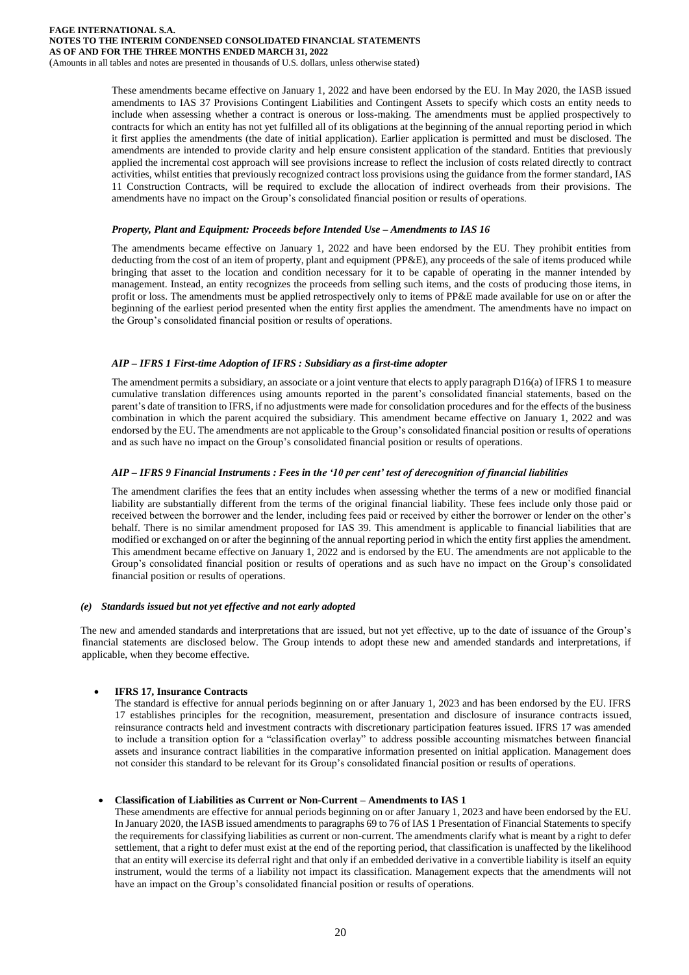These amendments became effective on January 1, 2022 and have been endorsed by the EU. In May 2020, the IASB issued amendments to IAS 37 Provisions Contingent Liabilities and Contingent Assets to specify which costs an entity needs to include when assessing whether a contract is onerous or loss-making. The amendments must be applied prospectively to contracts for which an entity has not yet fulfilled all of its obligations at the beginning of the annual reporting period in which it first applies the amendments (the date of initial application). Earlier application is permitted and must be disclosed. The amendments are intended to provide clarity and help ensure consistent application of the standard. Entities that previously applied the incremental cost approach will see provisions increase to reflect the inclusion of costs related directly to contract activities, whilst entities that previously recognized contract loss provisions using the guidance from the former standard, IAS 11 Construction Contracts, will be required to exclude the allocation of indirect overheads from their provisions. The amendments have no impact on the Group's consolidated financial position or results of operations.

#### *Property, Plant and Equipment: Proceeds before Intended Use – Amendments to IAS 16*

The amendments became effective on January 1, 2022 and have been endorsed by the EU. They prohibit entities from deducting from the cost of an item of property, plant and equipment (PP&E), any proceeds of the sale of items produced while bringing that asset to the location and condition necessary for it to be capable of operating in the manner intended by management. Instead, an entity recognizes the proceeds from selling such items, and the costs of producing those items, in profit or loss. The amendments must be applied retrospectively only to items of PP&E made available for use on or after the beginning of the earliest period presented when the entity first applies the amendment. The amendments have no impact on the Group's consolidated financial position or results of operations.

## *AIP – IFRS 1 First-time Adoption of IFRS : Subsidiary as a first-time adopter*

The amendment permits a subsidiary, an associate or a joint venture that elects to apply paragraph D16(a) of IFRS 1 to measure cumulative translation differences using amounts reported in the parent's consolidated financial statements, based on the parent's date of transition to IFRS, if no adjustments were made for consolidation procedures and for the effects of the business combination in which the parent acquired the subsidiary. This amendment became effective on January 1, 2022 and was endorsed by the EU. The amendments are not applicable to the Group's consolidated financial position or results of operations and as such have no impact on the Group's consolidated financial position or results of operations.

## *AIP – IFRS 9 Financial Instruments : Fees in the '10 per cent' test of derecognition of financial liabilities*

The amendment clarifies the fees that an entity includes when assessing whether the terms of a new or modified financial liability are substantially different from the terms of the original financial liability. These fees include only those paid or received between the borrower and the lender, including fees paid or received by either the borrower or lender on the other's behalf. There is no similar amendment proposed for IAS 39. This amendment is applicable to financial liabilities that are modified or exchanged on or after the beginning of the annual reporting period in which the entity first applies the amendment. This amendment became effective on January 1, 2022 and is endorsed by the EU. The amendments are not applicable to the Group's consolidated financial position or results of operations and as such have no impact on the Group's consolidated financial position or results of operations.

#### *(e) Standards issued but not yet effective and not early adopted*

The new and amended standards and interpretations that are issued, but not yet effective, up to the date of issuance of the Group's financial statements are disclosed below. The Group intends to adopt these new and amended standards and interpretations, if applicable, when they become effective.

## • **IFRS 17, Insurance Contracts**

The standard is effective for annual periods beginning on or after January 1, 2023 and has been endorsed by the EU. IFRS 17 establishes principles for the recognition, measurement, presentation and disclosure of insurance contracts issued, reinsurance contracts held and investment contracts with discretionary participation features issued. IFRS 17 was amended to include a transition option for a "classification overlay" to address possible accounting mismatches between financial assets and insurance contract liabilities in the comparative information presented on initial application. Management does not consider this standard to be relevant for its Group's consolidated financial position or results of operations.

## • **Classification of Liabilities as Current or Non-Current – Amendments to IAS 1**

These amendments are effective for annual periods beginning on or after January 1, 2023 and have been endorsed by the EU. In January 2020, the IASB issued amendments to paragraphs 69 to 76 of IAS 1 Presentation of Financial Statements to specify the requirements for classifying liabilities as current or non-current. The amendments clarify what is meant by a right to defer settlement, that a right to defer must exist at the end of the reporting period, that classification is unaffected by the likelihood that an entity will exercise its deferral right and that only if an embedded derivative in a convertible liability is itself an equity instrument, would the terms of a liability not impact its classification. Management expects that the amendments will not have an impact on the Group's consolidated financial position or results of operations.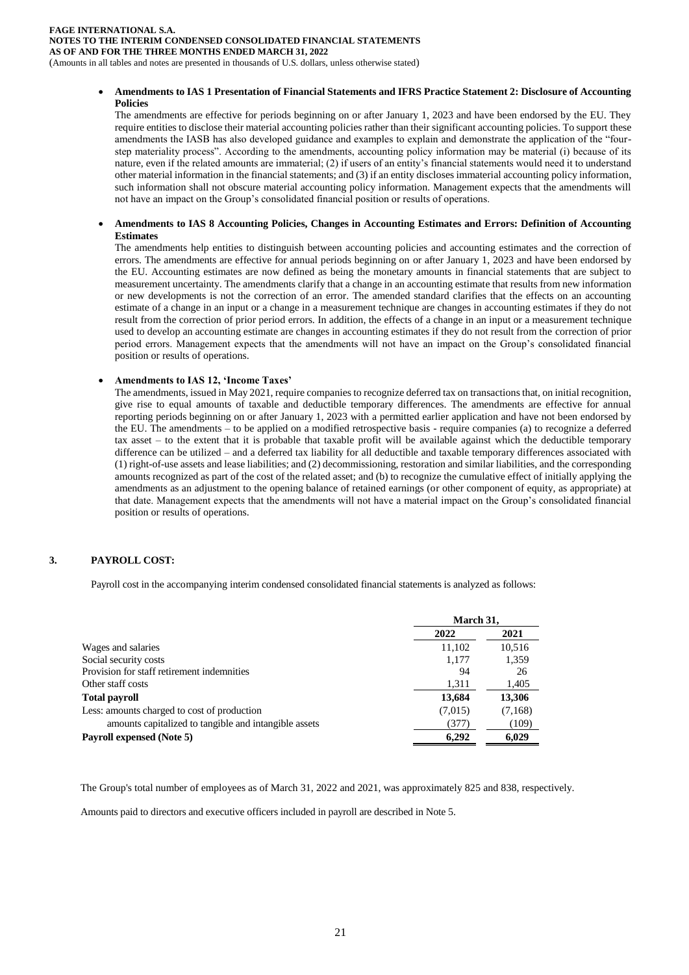**FAGE INTERNATIONAL S.A. NOTES TO THE INTERIM CONDENSED CONSOLIDATED FINANCIAL STATEMENTS AS OF AND FOR THE THREE MONTHS ENDED MARCH 31, 2022** (Amounts in all tables and notes are presented in thousands of U.S. dollars, unless otherwise stated)

## • **Amendments to IAS 1 Presentation of Financial Statements and IFRS Practice Statement 2: Disclosure of Accounting Policies**

The amendments are effective for periods beginning on or after January 1, 2023 and have been endorsed by the EU. They require entities to disclose their material accounting policies rather than their significant accounting policies. To support these amendments the IASB has also developed guidance and examples to explain and demonstrate the application of the "fourstep materiality process". According to the amendments, accounting policy information may be material (i) because of its nature, even if the related amounts are immaterial; (2) if users of an entity's financial statements would need it to understand other material information in the financial statements; and (3) if an entity discloses immaterial accounting policy information, such information shall not obscure material accounting policy information. Management expects that the amendments will not have an impact on the Group's consolidated financial position or results of operations.

#### • **Amendments to IAS 8 Accounting Policies, Changes in Accounting Estimates and Errors: Definition of Accounting Estimates**

The amendments help entities to distinguish between accounting policies and accounting estimates and the correction of errors. The amendments are effective for annual periods beginning on or after January 1, 2023 and have been endorsed by the EU. Accounting estimates are now defined as being the monetary amounts in financial statements that are subject to measurement uncertainty. The amendments clarify that a change in an accounting estimate that results from new information or new developments is not the correction of an error. The amended standard clarifies that the effects on an accounting estimate of a change in an input or a change in a measurement technique are changes in accounting estimates if they do not result from the correction of prior period errors. In addition, the effects of a change in an input or a measurement technique used to develop an accounting estimate are changes in accounting estimates if they do not result from the correction of prior period errors. Management expects that the amendments will not have an impact on the Group's consolidated financial position or results of operations.

## • **Amendments to IAS 12, 'Income Taxes'**

The amendments, issued in May 2021, require companies to recognize deferred tax on transactions that, on initial recognition, give rise to equal amounts of taxable and deductible temporary differences. The amendments are effective for annual reporting periods beginning on or after January 1, 2023 with a permitted earlier application and have not been endorsed by the EU. The amendments – to be applied on a modified retrospective basis - require companies (a) to recognize a deferred tax asset – to the extent that it is probable that taxable profit will be available against which the deductible temporary difference can be utilized – and a deferred tax liability for all deductible and taxable temporary differences associated with (1) right-of-use assets and lease liabilities; and (2) decommissioning, restoration and similar liabilities, and the corresponding amounts recognized as part of the cost of the related asset; and (b) to recognize the cumulative effect of initially applying the amendments as an adjustment to the opening balance of retained earnings (or other component of equity, as appropriate) at that date. Management expects that the amendments will not have a material impact on the Group's consolidated financial position or results of operations.

## **3. PAYROLL COST:**

Payroll cost in the accompanying interim condensed consolidated financial statements is analyzed as follows:

|                                                       | March 31, |         |
|-------------------------------------------------------|-----------|---------|
|                                                       | 2022      | 2021    |
| Wages and salaries                                    | 11,102    | 10.516  |
| Social security costs                                 | 1.177     | 1.359   |
| Provision for staff retirement indemnities            | 94        | 26      |
| Other staff costs                                     | 1,311     | 1,405   |
| <b>Total payroll</b>                                  | 13,684    | 13,306  |
| Less: amounts charged to cost of production           | (7,015)   | (7,168) |
| amounts capitalized to tangible and intangible assets | (377)     | (109)   |
| Payroll expensed (Note 5)                             | 6.292     | 6,029   |

The Group's total number of employees as of March 31, 2022 and 2021, was approximately 825 and 838, respectively.

Amounts paid to directors and executive officers included in payroll are described in Note 5.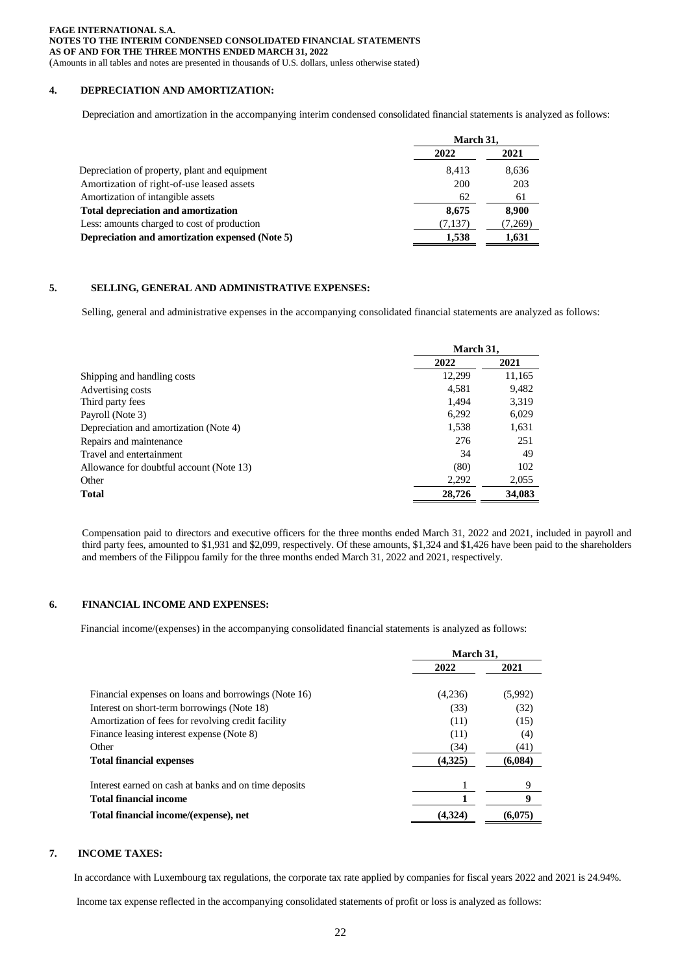(Amounts in all tables and notes are presented in thousands of U.S. dollars, unless otherwise stated)

## **4. DEPRECIATION AND AMORTIZATION:**

Depreciation and amortization in the accompanying interim condensed consolidated financial statements is analyzed as follows:

|                                                 | March 31. |        |
|-------------------------------------------------|-----------|--------|
|                                                 | 2022      | 2021   |
| Depreciation of property, plant and equipment   | 8.413     | 8,636  |
| Amortization of right-of-use leased assets      | 200       | 203    |
| Amortization of intangible assets               | 62        | 61     |
| <b>Total depreciation and amortization</b>      | 8.675     | 8,900  |
| Less: amounts charged to cost of production     | (7,137)   | 7,269) |
| Depreciation and amortization expensed (Note 5) | 1.538     | 1,631  |
|                                                 |           |        |

## **5. SELLING, GENERAL AND ADMINISTRATIVE EXPENSES:**

Selling, general and administrative expenses in the accompanying consolidated financial statements are analyzed as follows:

|                                          | March 31, |        |
|------------------------------------------|-----------|--------|
|                                          | 2022      | 2021   |
| Shipping and handling costs              | 12,299    | 11,165 |
| Advertising costs                        | 4,581     | 9,482  |
| Third party fees                         | 1.494     | 3,319  |
| Payroll (Note 3)                         | 6,292     | 6,029  |
| Depreciation and amortization (Note 4)   | 1,538     | 1,631  |
| Repairs and maintenance                  | 276       | 251    |
| Travel and entertainment                 | 34        | 49     |
| Allowance for doubtful account (Note 13) | (80)      | 102    |
| Other                                    | 2,292     | 2,055  |
| Total                                    | 28,726    | 34,083 |

Compensation paid to directors and executive officers for the three months ended March 31, 2022 and 2021, included in payroll and third party fees, amounted to \$1,931 and \$2,099, respectively. Of these amounts, \$1,324 and \$1,426 have been paid to the shareholders and members of the Filippou family for the three months ended March 31, 2022 and 2021, respectively.

## **6. FINANCIAL INCOME AND EXPENSES:**

Financial income/(expenses) in the accompanying consolidated financial statements is analyzed as follows:

|                                                                                                 | March 31.    |             |
|-------------------------------------------------------------------------------------------------|--------------|-------------|
|                                                                                                 | 2022         | 2021        |
| Financial expenses on loans and borrowings (Note 16)                                            | (4,236)      | (5,992)     |
| Interest on short-term borrowings (Note 18)                                                     | (33)         | (32)        |
| Amortization of fees for revolving credit facility<br>Finance leasing interest expense (Note 8) | (11)<br>(11) | (15)<br>(4) |
|                                                                                                 |              |             |
| <b>Total financial expenses</b>                                                                 | (4,325)      | (6,084)     |
| Interest earned on cash at banks and on time deposits                                           |              | 9           |
| <b>Total financial income</b>                                                                   |              | 9           |
| Total financial income/(expense), net                                                           | (4.324       | (6.075)     |

#### **7. INCOME TAXES:**

In accordance with Luxembourg tax regulations, the corporate tax rate applied by companies for fiscal years 2022 and 2021 is 24.94%.

Income tax expense reflected in the accompanying consolidated statements of profit or loss is analyzed as follows: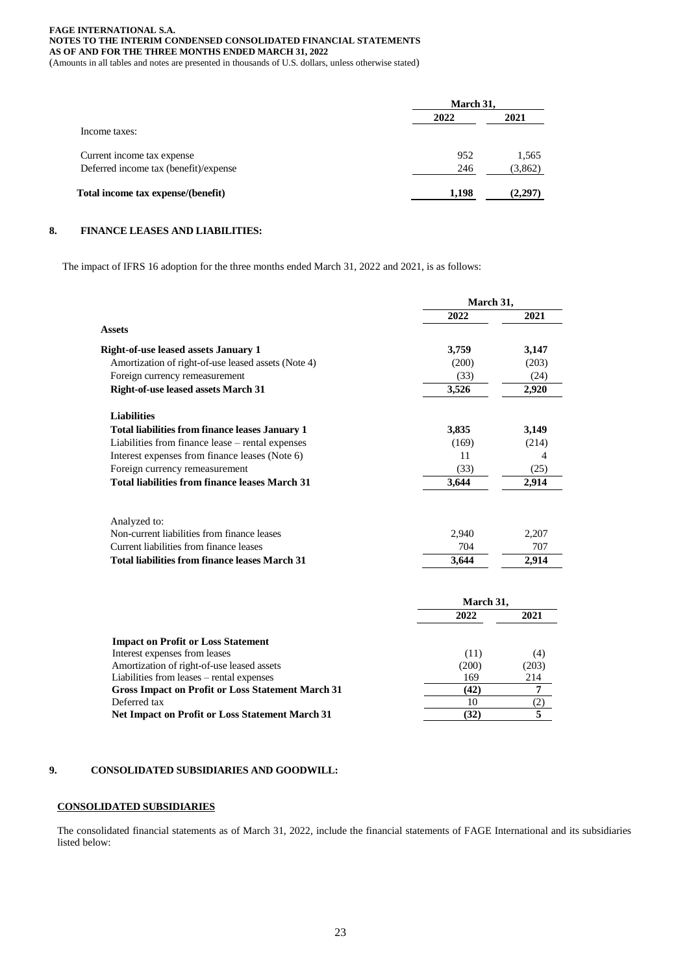(Amounts in all tables and notes are presented in thousands of U.S. dollars, unless otherwise stated)

|                                       | March 31, |         |
|---------------------------------------|-----------|---------|
|                                       | 2022      | 2021    |
| Income taxes:                         |           |         |
| Current income tax expense            | 952       | 1,565   |
| Deferred income tax (benefit)/expense | 246       | (3,862) |
| Total income tax expense/(benefit)    | 1,198     | (2,297) |

## **8. FINANCE LEASES AND LIABILITIES:**

The impact of IFRS 16 adoption for the three months ended March 31, 2022 and 2021, is as follows:

|                                                          | March 31, |                |
|----------------------------------------------------------|-----------|----------------|
|                                                          | 2022      | 2021           |
| <b>Assets</b>                                            |           |                |
| <b>Right-of-use leased assets January 1</b>              | 3,759     | 3,147          |
| Amortization of right-of-use leased assets (Note 4)      | (200)     | (203)          |
| Foreign currency remeasurement                           | (33)      | (24)<br>2,920  |
| Right-of-use leased assets March 31                      | 3,526     |                |
| <b>Liabilities</b>                                       |           |                |
| <b>Total liabilities from finance leases January 1</b>   | 3,835     | 3,149          |
| Liabilities from finance lease - rental expenses         | (169)     | (214)          |
| Interest expenses from finance leases (Note 6)           | 11        | $\overline{4}$ |
| Foreign currency remeasurement                           | (33)      | (25)           |
| <b>Total liabilities from finance leases March 31</b>    | 3,644     | 2,914          |
|                                                          |           |                |
| Analyzed to:                                             |           |                |
| Non-current liabilities from finance leases              | 2,940     | 2,207          |
| Current liabilities from finance leases                  | 704       | 707            |
| Total liabilities from finance leases March 31           | 3,644     | 2,914          |
|                                                          | March 31, |                |
|                                                          | 2022      | 2021           |
| <b>Impact on Profit or Loss Statement</b>                |           |                |
| Interest expenses from leases                            | (11)      | (4)            |
| Amortization of right-of-use leased assets               | (200)     | (203)          |
| Liabilities from leases – rental expenses                | 169       | 214            |
| <b>Gross Impact on Profit or Loss Statement March 31</b> | (42)      | 7              |
| Deferred tax                                             | 10        | (2)            |

## **9. CONSOLIDATED SUBSIDIARIES AND GOODWILL:**

## **CONSOLIDATED SUBSIDIARIES**

The consolidated financial statements as of March 31, 2022, include the financial statements of FAGE International and its subsidiaries listed below:

**Net Impact on Profit or Loss Statement March 31** (32) 5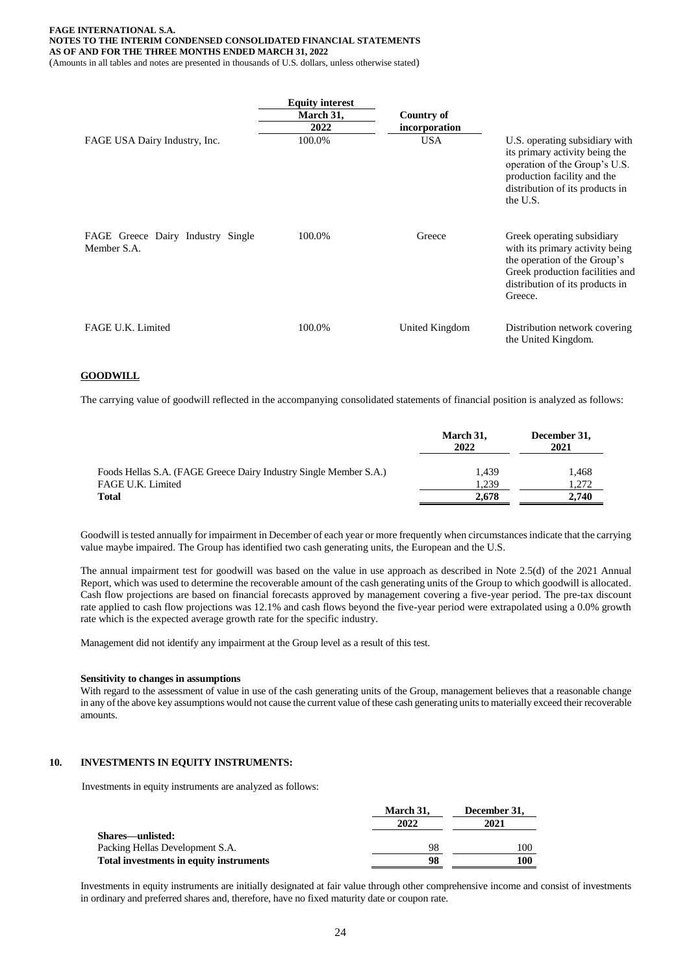(Amounts in all tables and notes are presented in thousands of U.S. dollars, unless otherwise stated)

|                                                  | <b>Equity interest</b><br>March 31,<br>2022 | Country of<br>incorporation |                                                                                                                                                                                 |
|--------------------------------------------------|---------------------------------------------|-----------------------------|---------------------------------------------------------------------------------------------------------------------------------------------------------------------------------|
| FAGE USA Dairy Industry, Inc.                    | 100.0%                                      | <b>USA</b>                  | U.S. operating subsidiary with<br>its primary activity being the<br>operation of the Group's U.S.<br>production facility and the<br>distribution of its products in<br>the U.S. |
| FAGE Greece Dairy Industry Single<br>Member S.A. | 100.0%                                      | Greece                      | Greek operating subsidiary<br>with its primary activity being<br>the operation of the Group's<br>Greek production facilities and<br>distribution of its products in<br>Greece.  |
| FAGE U.K. Limited                                | 100.0%                                      | United Kingdom              | Distribution network covering<br>the United Kingdom.                                                                                                                            |

#### **GOODWILL**

The carrying value of goodwill reflected in the accompanying consolidated statements of financial position is analyzed as follows:

|                                                                   | March 31,<br>2022 | December 31,<br>2021 |
|-------------------------------------------------------------------|-------------------|----------------------|
| Foods Hellas S.A. (FAGE Greece Dairy Industry Single Member S.A.) | 1.439             | 1,468                |
| FAGE U.K. Limited                                                 | 1.239             | 1,272                |
| <b>Total</b>                                                      | 2.678             | 2.740                |

Goodwill is tested annually for impairment in December of each year or more frequently when circumstances indicate that the carrying value maybe impaired. The Group has identified two cash generating units, the European and the U.S.

The annual impairment test for goodwill was based on the value in use approach as described in Note 2.5(d) of the 2021 Annual Report, which was used to determine the recoverable amount of the cash generating units of the Group to which goodwill is allocated. Cash flow projections are based on financial forecasts approved by management covering a five-year period. The pre-tax discount rate applied to cash flow projections was 12.1% and cash flows beyond the five-year period were extrapolated using a 0.0% growth rate which is the expected average growth rate for the specific industry.

Management did not identify any impairment at the Group level as a result of this test.

#### **Sensitivity to changes in assumptions**

With regard to the assessment of value in use of the cash generating units of the Group, management believes that a reasonable change in any of the above key assumptions would not cause the current value of these cash generating units to materially exceed their recoverable amounts.

#### **10. INVESTMENTS IN EQUITY INSTRUMENTS:**

Investments in equity instruments are analyzed as follows:

|                                         | March 31, | December 31, |  |
|-----------------------------------------|-----------|--------------|--|
|                                         | 2022      | 2021         |  |
| Shares—unlisted:                        |           |              |  |
| Packing Hellas Development S.A.         | 98        | 100          |  |
| Total investments in equity instruments | 98        | 100          |  |

Investments in equity instruments are initially designated at fair value through other comprehensive income and consist of investments in ordinary and preferred shares and, therefore, have no fixed maturity date or coupon rate.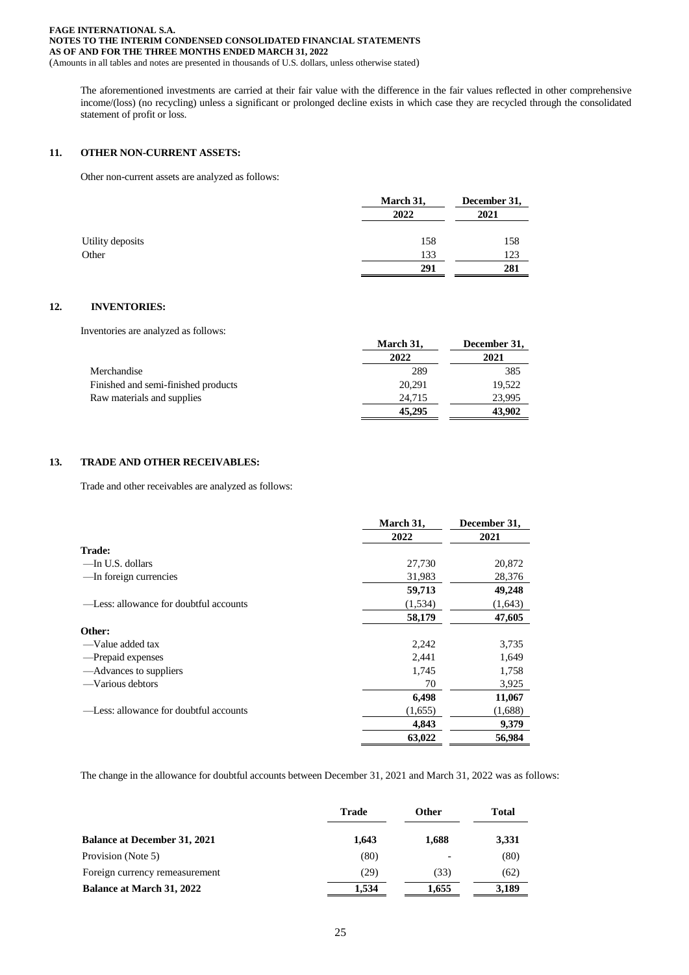(Amounts in all tables and notes are presented in thousands of U.S. dollars, unless otherwise stated)

The aforementioned investments are carried at their fair value with the difference in the fair values reflected in other comprehensive income/(loss) (no recycling) unless a significant or prolonged decline exists in which case they are recycled through the consolidated statement of profit or loss.

#### **11. OTHER NON-CURRENT ASSETS:**

Other non-current assets are analyzed as follows:

|                  | March 31, | December 31, |
|------------------|-----------|--------------|
|                  | 2022      | 2021         |
| Utility deposits | 158       | 158          |
| Other            | 133       | 123          |
|                  | 291       | 281          |

## **12. INVENTORIES:**

Inventories are analyzed as follows:

|                                     | March 31, | December 31, |
|-------------------------------------|-----------|--------------|
|                                     | 2022      | 2021         |
| Merchandise                         | 289       | 385          |
| Finished and semi-finished products | 20,291    | 19.522       |
| Raw materials and supplies          | 24.715    | 23,995       |
|                                     | 45,295    | 43,902       |

## **13. TRADE AND OTHER RECEIVABLES:**

Trade and other receivables are analyzed as follows:

|                                        | March 31, | December 31, |
|----------------------------------------|-----------|--------------|
|                                        | 2022      | 2021         |
| <b>Trade:</b>                          |           |              |
| —In U.S. dollars                       | 27,730    | 20,872       |
| —In foreign currencies                 | 31,983    | 28,376       |
|                                        | 59,713    | 49,248       |
| —Less: allowance for doubtful accounts | (1, 534)  | (1,643)      |
|                                        | 58,179    | 47,605       |
| Other:                                 |           |              |
| —Value added tax                       | 2,242     | 3,735        |
| —Prepaid expenses                      | 2,441     | 1,649        |
| —Advances to suppliers                 | 1,745     | 1,758        |
| -Various debtors                       | 70        | 3,925        |
|                                        | 6,498     | 11,067       |
| —Less: allowance for doubtful accounts | (1,655)   | (1,688)      |
|                                        | 4,843     | 9,379        |
|                                        | 63,022    | 56,984       |

The change in the allowance for doubtful accounts between December 31, 2021 and March 31, 2022 was as follows:

|                                     | Trade | <b>Other</b> | Total |
|-------------------------------------|-------|--------------|-------|
| <b>Balance at December 31, 2021</b> | 1,643 | 1.688        | 3,331 |
| Provision (Note 5)                  | (80)  |              | (80)  |
| Foreign currency remeasurement      | (29)  | (33)         | (62)  |
| <b>Balance at March 31, 2022</b>    | 1.534 | 1.655        | 3,189 |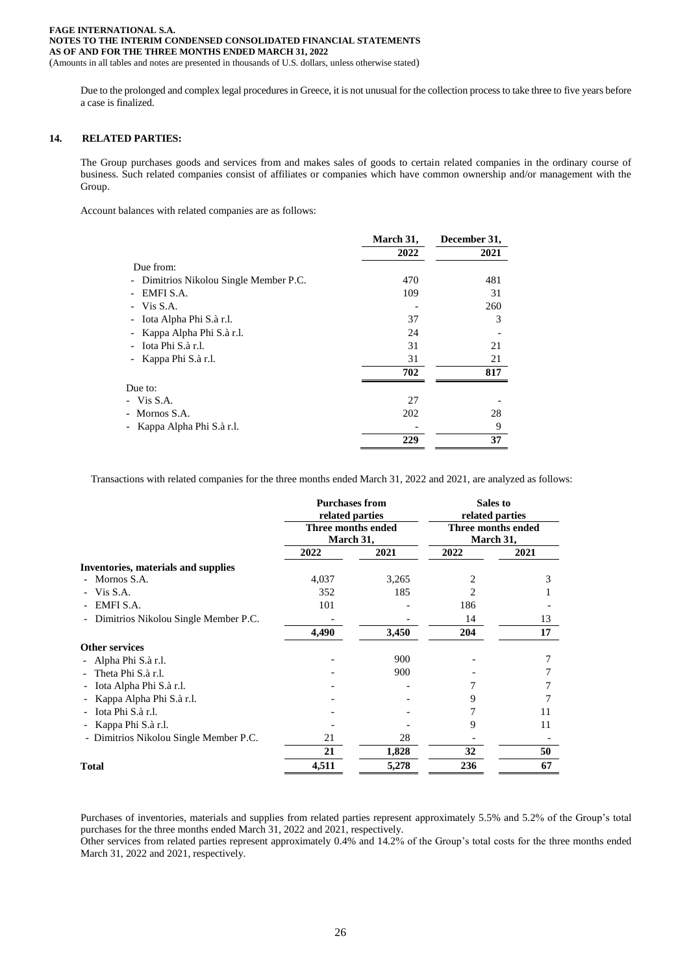(Amounts in all tables and notes are presented in thousands of U.S. dollars, unless otherwise stated)

Due to the prolonged and complex legal procedures in Greece, it is not unusual for the collection process to take three to five years before a case is finalized.

#### **14. RELATED PARTIES:**

The Group purchases goods and services from and makes sales of goods to certain related companies in the ordinary course of business. Such related companies consist of affiliates or companies which have common ownership and/or management with the Group.

Account balances with related companies are as follows:

|                                                     | March 31,<br>2022 | December 31,<br>2021 |
|-----------------------------------------------------|-------------------|----------------------|
| Due from:                                           |                   |                      |
| Dimitrios Nikolou Single Member P.C.<br>-           | 470               | 481                  |
| EMFI S.A.                                           | 109               | 31                   |
| Vis S.A.                                            |                   | 260                  |
| Iota Alpha Phi S.à r.l.<br>$\overline{\phantom{a}}$ | 37                | 3                    |
| Kappa Alpha Phi S.à r.l.<br>-                       | 24                |                      |
| Iota Phi S.à r.l.                                   | 31                | 21                   |
| Kappa Phi S.à r.l.                                  | 31                | 21                   |
|                                                     | 702               | 817                  |
| Due to:                                             |                   |                      |
| - Vis S.A.                                          | 27                |                      |
| Mornos S.A.<br>$\sim$                               | 202               | 28                   |
| Kappa Alpha Phi S.à r.l.<br>$\qquad \qquad -$       |                   | 9                    |
|                                                     | 229               | 37                   |

Transactions with related companies for the three months ended March 31, 2022 and 2021, are analyzed as follows:

|                                        | <b>Purchases from</b><br>related parties<br>Three months ended<br>March 31, |       | Sales to<br>related parties<br>Three months ended<br>March 31, |      |
|----------------------------------------|-----------------------------------------------------------------------------|-------|----------------------------------------------------------------|------|
|                                        |                                                                             |       |                                                                |      |
|                                        | 2022                                                                        | 2021  | 2022                                                           | 2021 |
| Inventories, materials and supplies    |                                                                             |       |                                                                |      |
| Mornos S.A.                            | 4,037                                                                       | 3,265 | 2                                                              | 3    |
| Vis S.A.                               | 352                                                                         | 185   | 2                                                              |      |
| EMFI S.A.                              | 101                                                                         |       | 186                                                            |      |
| Dimitrios Nikolou Single Member P.C.   |                                                                             |       | 14                                                             | 13   |
|                                        | 4,490                                                                       | 3,450 | 204                                                            | 17   |
| <b>Other services</b>                  |                                                                             |       |                                                                |      |
| Alpha Phi S.à r.l.                     |                                                                             | 900   |                                                                |      |
| Theta Phi S.à r.l.                     |                                                                             | 900   |                                                                |      |
| Iota Alpha Phi S.à r.l.                |                                                                             |       |                                                                |      |
| Kappa Alpha Phi S.à r.l.               |                                                                             |       | 9                                                              |      |
| Iota Phi S.à r.l.                      |                                                                             |       |                                                                | 11   |
| Kappa Phi S.à r.l.                     |                                                                             |       | 9                                                              | 11   |
| - Dimitrios Nikolou Single Member P.C. | 21                                                                          | 28    |                                                                |      |
|                                        | 21                                                                          | 1,828 | 32                                                             | 50   |
| <b>Total</b>                           | 4,511                                                                       | 5,278 | 236                                                            | 67   |

Purchases of inventories, materials and supplies from related parties represent approximately 5.5% and 5.2% of the Group's total purchases for the three months ended March 31, 2022 and 2021, respectively.

Other services from related parties represent approximately 0.4% and 14.2% of the Group's total costs for the three months ended March 31, 2022 and 2021, respectively.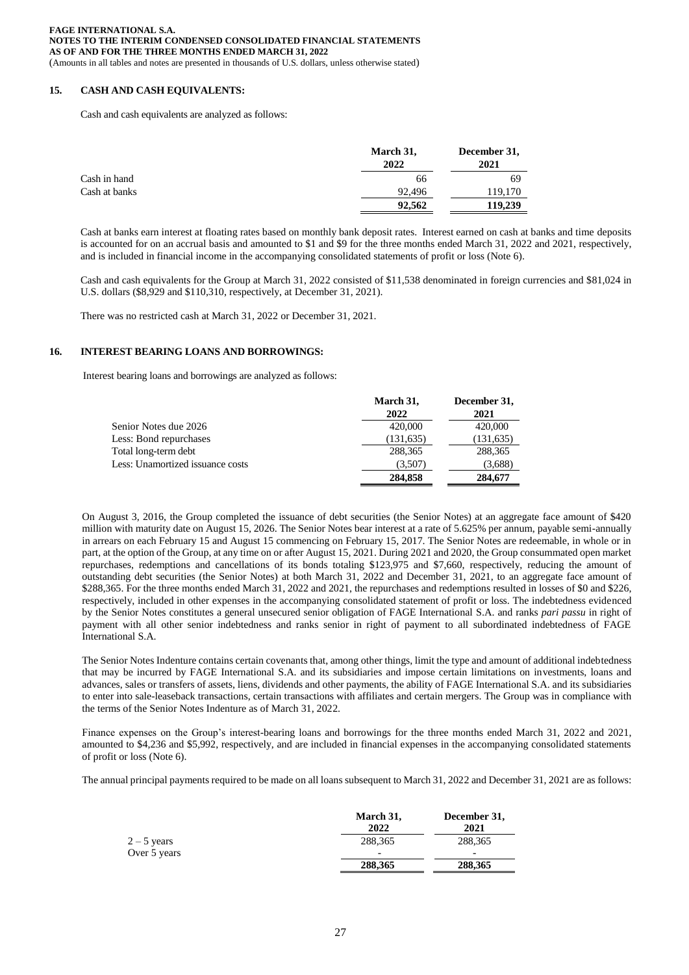## **15. CASH AND CASH EQUIVALENTS:**

Cash and cash equivalents are analyzed as follows:

|               | March 31,<br>2022 | December 31,<br>2021 |
|---------------|-------------------|----------------------|
| Cash in hand  | 66                | 69                   |
| Cash at banks | 92.496            | 119,170              |
|               | 92.562            | 119,239              |

Cash at banks earn interest at floating rates based on monthly bank deposit rates. Interest earned on cash at banks and time deposits is accounted for on an accrual basis and amounted to \$1 and \$9 for the three months ended March 31, 2022 and 2021, respectively, and is included in financial income in the accompanying consolidated statements of profit or loss (Note 6).

Cash and cash equivalents for the Group at March 31, 2022 consisted of \$11,538 denominated in foreign currencies and \$81,024 in U.S. dollars (\$8,929 and \$110,310, respectively, at December 31, 2021).

There was no restricted cash at March 31, 2022 or December 31, 2021.

#### **16. INTEREST BEARING LOANS AND BORROWINGS:**

Interest bearing loans and borrowings are analyzed as follows:

|                                  | March 31,  | December 31, |
|----------------------------------|------------|--------------|
|                                  | 2022       | 2021         |
| Senior Notes due 2026            | 420,000    | 420,000      |
| Less: Bond repurchases           | (131, 635) | (131, 635)   |
| Total long-term debt             | 288,365    | 288,365      |
| Less: Unamortized issuance costs | (3,507)    | (3,688)      |
|                                  | 284,858    | 284,677      |

On August 3, 2016, the Group completed the issuance of debt securities (the Senior Notes) at an aggregate face amount of \$420 million with maturity date on August 15, 2026. The Senior Notes bear interest at a rate of 5.625% per annum, payable semi-annually in arrears on each February 15 and August 15 commencing on February 15, 2017. The Senior Notes are redeemable, in whole or in part, at the option of the Group, at any time on or after August 15, 2021. During 2021 and 2020, the Group consummated open market repurchases, redemptions and cancellations of its bonds totaling \$123,975 and \$7,660, respectively, reducing the amount of outstanding debt securities (the Senior Notes) at both March 31, 2022 and December 31, 2021, to an aggregate face amount of \$288,365. For the three months ended March 31, 2022 and 2021, the repurchases and redemptions resulted in losses of \$0 and \$226, respectively, included in other expenses in the accompanying consolidated statement of profit or loss. The indebtedness evidenced by the Senior Notes constitutes a general unsecured senior obligation of FAGE International S.A. and ranks *pari passu* in right of payment with all other senior indebtedness and ranks senior in right of payment to all subordinated indebtedness of FAGE International S.A.

The Senior Notes Indenture contains certain covenants that, among other things, limit the type and amount of additional indebtedness that may be incurred by FAGE International S.A. and its subsidiaries and impose certain limitations on investments, loans and advances, sales or transfers of assets, liens, dividends and other payments, the ability of FAGE International S.A. and its subsidiaries to enter into sale-leaseback transactions, certain transactions with affiliates and certain mergers. The Group was in compliance with the terms of the Senior Notes Indenture as of March 31, 2022.

Finance expenses on the Group's interest-bearing loans and borrowings for the three months ended March 31, 2022 and 2021, amounted to \$4,236 and \$5,992, respectively, and are included in financial expenses in the accompanying consolidated statements of profit or loss (Note 6).

The annual principal payments required to be made on all loans subsequent to March 31, 2022 and December 31, 2021 are as follows:

|               | March 31,<br>2022 | December 31,<br>2021     |
|---------------|-------------------|--------------------------|
| $2 - 5$ years | 288.365           | 288,365                  |
| Over 5 years  | -                 | $\overline{\phantom{0}}$ |
|               | 288,365           | 288,365                  |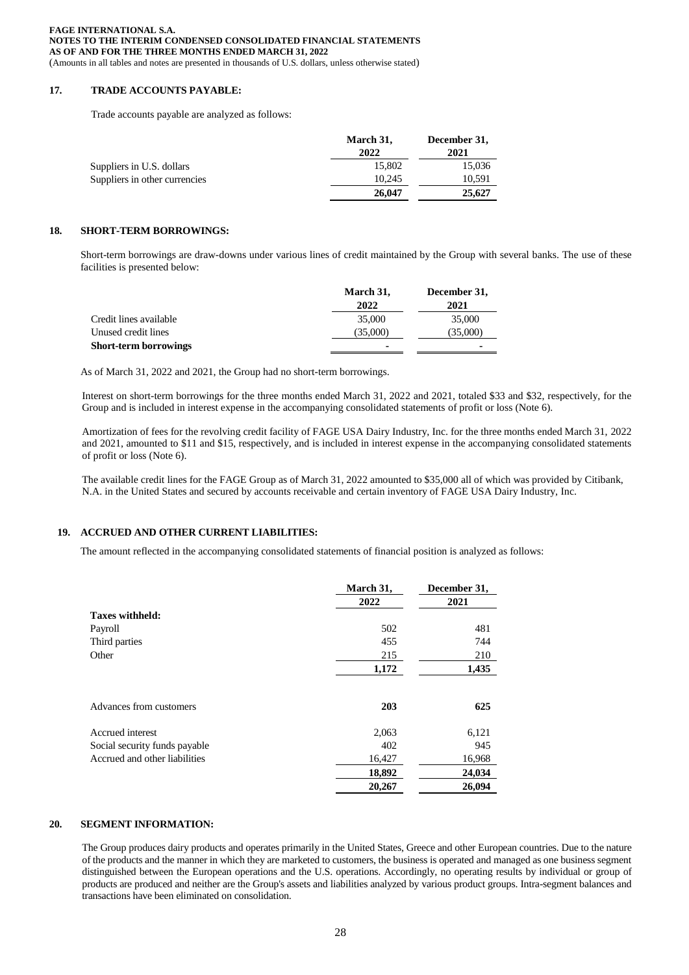**FAGE INTERNATIONAL S.A. NOTES TO THE INTERIM CONDENSED CONSOLIDATED FINANCIAL STATEMENTS AS OF AND FOR THE THREE MONTHS ENDED MARCH 31, 2022** (Amounts in all tables and notes are presented in thousands of U.S. dollars, unless otherwise stated)

## **17. TRADE ACCOUNTS PAYABLE:**

Trade accounts payable are analyzed as follows:

|                               | March 31, | December 31, |
|-------------------------------|-----------|--------------|
|                               | 2022      | 2021         |
| Suppliers in U.S. dollars     | 15,802    | 15.036       |
| Suppliers in other currencies | 10.245    | 10.591       |
|                               | 26,047    | 25,627       |

## **18. SHORT-TERM BORROWINGS:**

Short-term borrowings are draw-downs under various lines of credit maintained by the Group with several banks. The use of these facilities is presented below:

|                              | March 31,      | December 31, |
|------------------------------|----------------|--------------|
|                              | 2022           | 2021         |
| Credit lines available       | 35,000         | 35,000       |
| Unused credit lines          | (35,000)       | (35,000)     |
| <b>Short-term borrowings</b> | $\blacksquare$ | ۰            |

As of March 31, 2022 and 2021, the Group had no short-term borrowings.

Interest on short-term borrowings for the three months ended March 31, 2022 and 2021, totaled \$33 and \$32, respectively, for the Group and is included in interest expense in the accompanying consolidated statements of profit or loss (Note 6).

Amortization of fees for the revolving credit facility of FAGE USA Dairy Industry, Inc. for the three months ended March 31, 2022 and 2021, amounted to \$11 and \$15, respectively, and is included in interest expense in the accompanying consolidated statements of profit or loss (Note 6).

The available credit lines for the FAGE Group as of March 31, 2022 amounted to \$35,000 all of which was provided by Citibank, N.A. in the United States and secured by accounts receivable and certain inventory of FAGE USA Dairy Industry, Inc.

## **19. ACCRUED AND OTHER CURRENT LIABILITIES:**

The amount reflected in the accompanying consolidated statements of financial position is analyzed as follows:

|                               | March 31, | December 31, |
|-------------------------------|-----------|--------------|
|                               | 2022      | 2021         |
| <b>Taxes withheld:</b>        |           |              |
| Payroll                       | 502       | 481          |
| Third parties                 | 455       | 744          |
| Other                         | 215       | 210          |
|                               | 1,172     | 1,435        |
| Advances from customers       | 203       | 625          |
| Accrued interest              | 2,063     | 6,121        |
| Social security funds payable | 402       | 945          |
| Accrued and other liabilities | 16,427    | 16,968       |
|                               | 18,892    | 24,034       |
|                               | 20,267    | 26.094       |

## **20. SEGMENT INFORMATION:**

The Group produces dairy products and operates primarily in the United States, Greece and other European countries. Due to the nature of the products and the manner in which they are marketed to customers, the business is operated and managed as one business segment distinguished between the European operations and the U.S. operations. Accordingly, no operating results by individual or group of products are produced and neither are the Group's assets and liabilities analyzed by various product groups. Intra-segment balances and transactions have been eliminated on consolidation.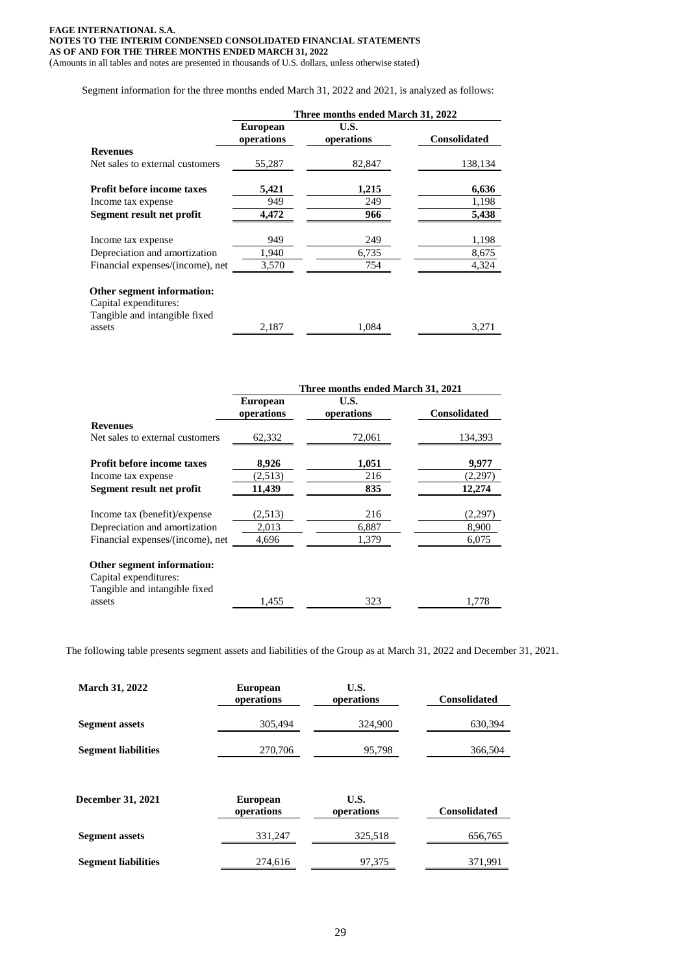#### **FAGE INTERNATIONAL S.A. NOTES TO THE INTERIM CONDENSED CONSOLIDATED FINANCIAL STATEMENTS AS OF AND FOR THE THREE MONTHS ENDED MARCH 31, 2022** (Amounts in all tables and notes are presented in thousands of U.S. dollars, unless otherwise stated)

Segment information for the three months ended March 31, 2022 and 2021, is analyzed as follows:

|                                                                                      | Three months ended March 31, 2022 |                    |                     |
|--------------------------------------------------------------------------------------|-----------------------------------|--------------------|---------------------|
|                                                                                      | <b>European</b><br>operations     | U.S.<br>operations | <b>Consolidated</b> |
| <b>Revenues</b>                                                                      |                                   |                    |                     |
| Net sales to external customers                                                      | 55,287                            | 82,847             | 138,134             |
| <b>Profit before income taxes</b>                                                    | 5,421                             | 1,215              | 6,636               |
| Income tax expense                                                                   | 949                               | 249                | 1,198               |
| Segment result net profit                                                            | 4,472                             | 966                | 5,438               |
| Income tax expense                                                                   | 949                               | 249                | 1,198               |
| Depreciation and amortization                                                        | 1,940                             | 6,735              | 8,675               |
| Financial expenses/(income), net                                                     | 3,570                             | 754                | 4,324               |
| Other segment information:<br>Capital expenditures:<br>Tangible and intangible fixed |                                   |                    |                     |
| assets                                                                               | 2.187                             | 1.084              | 3,271               |

|                                   | Three months ended March 31, 2021 |                    |                     |
|-----------------------------------|-----------------------------------|--------------------|---------------------|
|                                   | <b>European</b><br>operations     | U.S.<br>operations | <b>Consolidated</b> |
| <b>Revenues</b>                   |                                   |                    |                     |
| Net sales to external customers   | 62,332                            | 72,061             | 134,393             |
| <b>Profit before income taxes</b> | 8,926                             | 1,051              | 9,977               |
| Income tax expense                | (2,513)                           | 216                | (2,297)             |
| Segment result net profit         | 11,439                            | 835                | 12,274              |
| Income tax (benefit)/expense      | (2,513)                           | 216                | (2,297)             |
| Depreciation and amortization     | 2,013                             | 6,887              | 8,900               |
| Financial expenses/(income), net  | 4,696                             | 1,379              | 6,075               |
| Other segment information:        |                                   |                    |                     |
| Capital expenditures:             |                                   |                    |                     |
| Tangible and intangible fixed     |                                   |                    |                     |
| assets                            | 1.455                             | 323                | 1,778               |

The following table presents segment assets and liabilities of the Group as at March 31, 2022 and December 31, 2021.

| <b>March 31, 2022</b>      | <b>European</b><br>operations | U.S.<br>operations | <b>Consolidated</b> |
|----------------------------|-------------------------------|--------------------|---------------------|
| <b>Segment assets</b>      | 305,494                       | 324,900            | 630,394             |
| <b>Segment liabilities</b> | 270,706                       | 95,798             | 366,504             |
|                            |                               |                    |                     |
| December 31, 2021          | <b>European</b><br>operations | U.S.<br>operations | <b>Consolidated</b> |
| <b>Segment</b> assets      | 331,247                       | 325,518            | 656,765             |
| <b>Segment liabilities</b> | 274,616                       | 97,375             | 371,991             |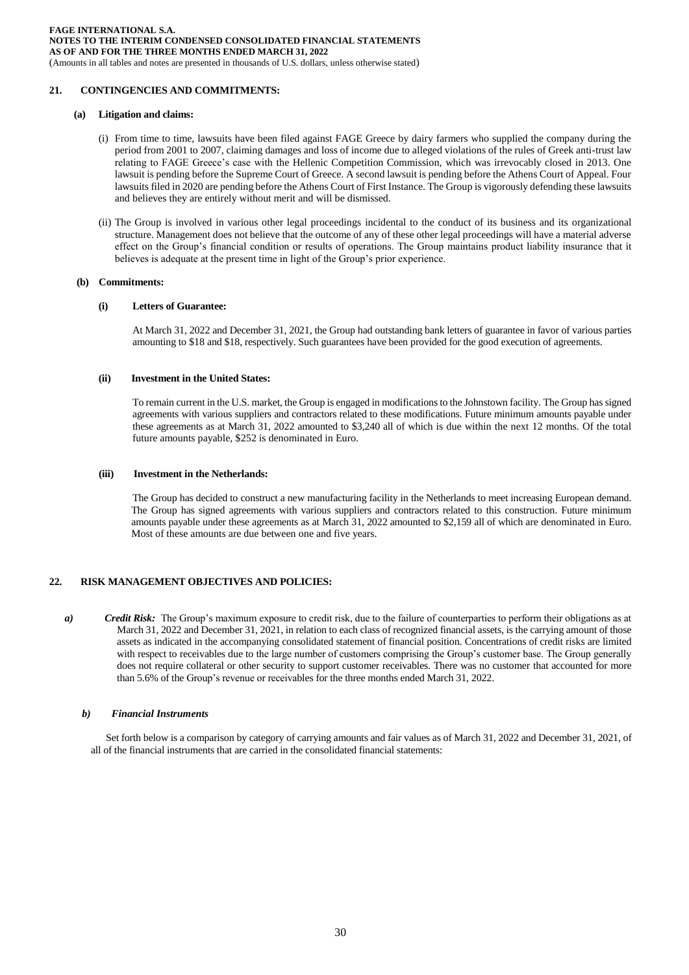(Amounts in all tables and notes are presented in thousands of U.S. dollars, unless otherwise stated)

## **21. CONTINGENCIES AND COMMITMENTS:**

#### **(a) Litigation and claims:**

- (i) From time to time, lawsuits have been filed against FAGE Greece by dairy farmers who supplied the company during the period from 2001 to 2007, claiming damages and loss of income due to alleged violations of the rules of Greek anti-trust law relating to FAGE Greece's case with the Hellenic Competition Commission, which was irrevocably closed in 2013. One lawsuit is pending before the Supreme Court of Greece. A second lawsuit is pending before the Athens Court of Appeal. Four lawsuits filed in 2020 are pending before the Athens Court of First Instance. The Group is vigorously defending these lawsuits and believes they are entirely without merit and will be dismissed.
- (ii) The Group is involved in various other legal proceedings incidental to the conduct of its business and its organizational structure. Management does not believe that the outcome of any of these other legal proceedings will have a material adverse effect on the Group's financial condition or results of operations. The Group maintains product liability insurance that it believes is adequate at the present time in light of the Group's prior experience.

#### **(b) Commitments:**

#### **(i) Letters of Guarantee:**

At March 31, 2022 and December 31, 2021, the Group had outstanding bank letters of guarantee in favor of various parties amounting to \$18 and \$18, respectively. Such guarantees have been provided for the good execution of agreements.

#### **(ii) Investment in the United States:**

To remain current in the U.S. market, the Group is engaged in modifications to the Johnstown facility. The Group has signed agreements with various suppliers and contractors related to these modifications. Future minimum amounts payable under these agreements as at March 31, 2022 amounted to \$3,240 all of which is due within the next 12 months. Of the total future amounts payable, \$252 is denominated in Euro.

#### **(iii) Investment in the Netherlands:**

The Group has decided to construct a new manufacturing facility in the Netherlands to meet increasing European demand. The Group has signed agreements with various suppliers and contractors related to this construction. Future minimum amounts payable under these agreements as at March 31, 2022 amounted to \$2,159 all of which are denominated in Euro. Most of these amounts are due between one and five years.

#### **22. RISK MANAGEMENT OBJECTIVES AND POLICIES:**

*a*) Credit Risk: The Group's maximum exposure to credit risk, due to the failure of counterparties to perform their obligations as at March 31, 2022 and December 31, 2021, in relation to each class of recognized financial assets, is the carrying amount of those assets as indicated in the accompanying consolidated statement of financial position. Concentrations of credit risks are limited with respect to receivables due to the large number of customers comprising the Group's customer base. The Group generally does not require collateral or other security to support customer receivables. There was no customer that accounted for more than 5.6% of the Group's revenue or receivables for the three months ended March 31, 2022.

#### *b) Financial Instruments*

 Set forth below is a comparison by category of carrying amounts and fair values as of March 31, 2022 and December 31, 2021, of all of the financial instruments that are carried in the consolidated financial statements: